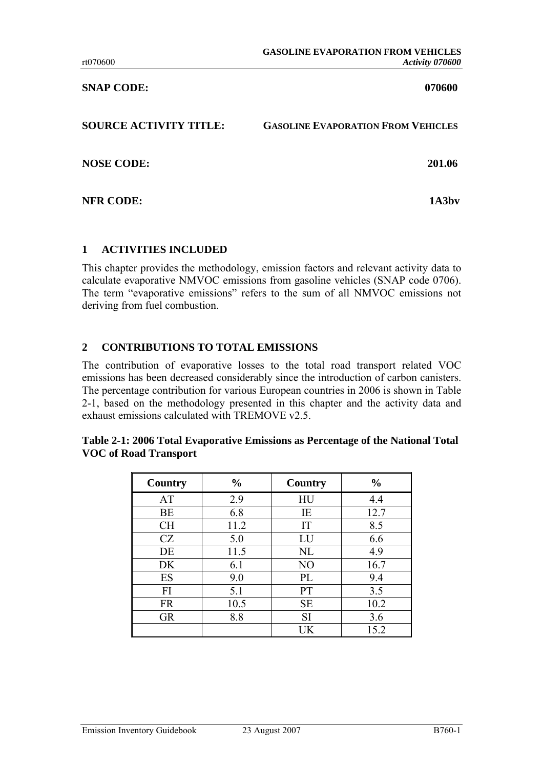**SNAP CODE: 070600** 

| <b>SOURCE ACTIVITY TITLE:</b> | <b>GASOLINE EVAPORATION FROM VEHICLES</b> |
|-------------------------------|-------------------------------------------|
| <b>NOSE CODE:</b>             | 201.06                                    |
| <b>NFR CODE:</b>              | 1A3hv                                     |

### **1 ACTIVITIES INCLUDED**

This chapter provides the methodology, emission factors and relevant activity data to calculate evaporative NMVOC emissions from gasoline vehicles (SNAP code 0706). The term "evaporative emissions" refers to the sum of all NMVOC emissions not deriving from fuel combustion.

### **2 CONTRIBUTIONS TO TOTAL EMISSIONS**

The contribution of evaporative losses to the total road transport related VOC emissions has been decreased considerably since the introduction of carbon canisters. The percentage contribution for various European countries in 2006 is shown in [Table](#page-0-0) [2-1,](#page-0-0) based on the methodology presented in this chapter and the activity data and exhaust emissions calculated with TREMOVE v2.5.

<span id="page-0-0"></span>

| Table 2-1: 2006 Total Evaporative Emissions as Percentage of the National Total |
|---------------------------------------------------------------------------------|
| <b>VOC of Road Transport</b>                                                    |
|                                                                                 |

| Country   | $\frac{0}{0}$ | Country   | $\frac{0}{0}$ |  |  |
|-----------|---------------|-----------|---------------|--|--|
| AT        | 2.9           | HU        | 4.4           |  |  |
| BE        | 6.8           | IE        | 12.7          |  |  |
| <b>CH</b> | 11.2          | IT        | 8.5           |  |  |
| CZ        | 5.0           | LU        | 6.6           |  |  |
| DE        | 11.5          | NL        | 4.9           |  |  |
| DK        | 6.1           | NO        | 16.7          |  |  |
| ES        | 9.0           | PL        | 9.4           |  |  |
| FI        | 5.1           | <b>PT</b> | 3.5           |  |  |
| <b>FR</b> | 10.5          | <b>SE</b> | 10.2          |  |  |
| <b>GR</b> | 8.8           | SI        | 3.6           |  |  |
|           |               | UK        | 15.2          |  |  |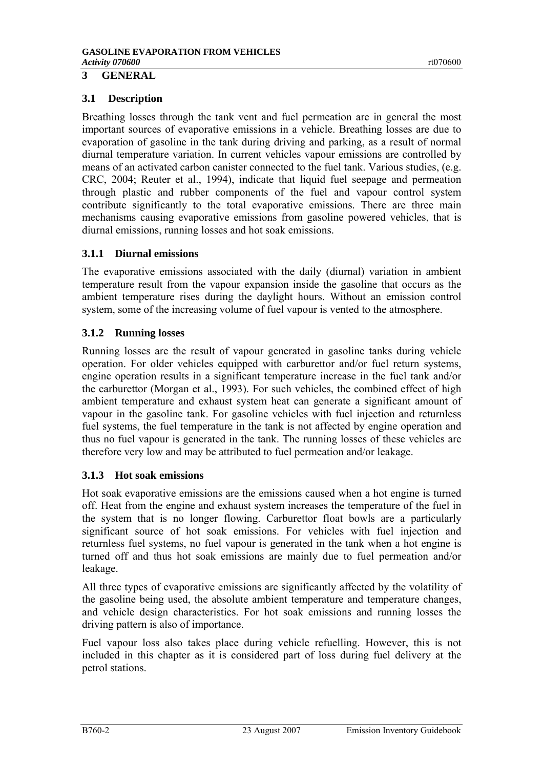# **3 GENERAL**

### **3.1 Description**

Breathing losses through the tank vent and fuel permeation are in general the most important sources of evaporative emissions in a vehicle. Breathing losses are due to evaporation of gasoline in the tank during driving and parking, as a result of normal diurnal temperature variation. In current vehicles vapour emissions are controlled by means of an activated carbon canister connected to the fuel tank. Various studies, (e.g. CRC, 2004; Reuter et al., 1994), indicate that liquid fuel seepage and permeation through plastic and rubber components of the fuel and vapour control system contribute significantly to the total evaporative emissions. There are three main mechanisms causing evaporative emissions from gasoline powered vehicles, that is diurnal emissions, running losses and hot soak emissions.

### **3.1.1 Diurnal emissions**

The evaporative emissions associated with the daily (diurnal) variation in ambient temperature result from the vapour expansion inside the gasoline that occurs as the ambient temperature rises during the daylight hours. Without an emission control system, some of the increasing volume of fuel vapour is vented to the atmosphere.

### **3.1.2 Running losses**

Running losses are the result of vapour generated in gasoline tanks during vehicle operation. For older vehicles equipped with carburettor and/or fuel return systems, engine operation results in a significant temperature increase in the fuel tank and/or the carburettor (Morgan et al., 1993). For such vehicles, the combined effect of high ambient temperature and exhaust system heat can generate a significant amount of vapour in the gasoline tank. For gasoline vehicles with fuel injection and returnless fuel systems, the fuel temperature in the tank is not affected by engine operation and thus no fuel vapour is generated in the tank. The running losses of these vehicles are therefore very low and may be attributed to fuel permeation and/or leakage.

#### **3.1.3 Hot soak emissions**

Hot soak evaporative emissions are the emissions caused when a hot engine is turned off. Heat from the engine and exhaust system increases the temperature of the fuel in the system that is no longer flowing. Carburettor float bowls are a particularly significant source of hot soak emissions. For vehicles with fuel injection and returnless fuel systems, no fuel vapour is generated in the tank when a hot engine is turned off and thus hot soak emissions are mainly due to fuel permeation and/or leakage.

All three types of evaporative emissions are significantly affected by the volatility of the gasoline being used, the absolute ambient temperature and temperature changes, and vehicle design characteristics. For hot soak emissions and running losses the driving pattern is also of importance.

Fuel vapour loss also takes place during vehicle refuelling. However, this is not included in this chapter as it is considered part of loss during fuel delivery at the petrol stations.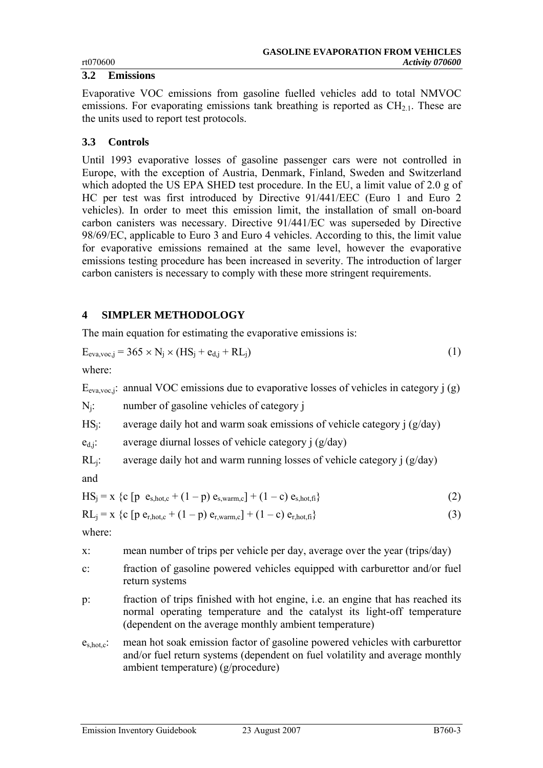#### **3.2 Emissions**

Evaporative VOC emissions from gasoline fuelled vehicles add to total NMVOC emissions. For evaporating emissions tank breathing is reported as  $CH_{2,1}$ . These are the units used to report test protocols.

# **3.3 Controls**

Until 1993 evaporative losses of gasoline passenger cars were not controlled in Europe, with the exception of Austria, Denmark, Finland, Sweden and Switzerland which adopted the US EPA SHED test procedure. In the EU, a limit value of 2.0 g of HC per test was first introduced by Directive 91/441/EEC (Euro 1 and Euro 2 vehicles). In order to meet this emission limit, the installation of small on-board carbon canisters was necessary. Directive 91/441/EC was superseded by Directive 98/69/EC, applicable to Euro 3 and Euro 4 vehicles. According to this, the limit value for evaporative emissions remained at the same level, however the evaporative emissions testing procedure has been increased in severity. The introduction of larger carbon canisters is necessary to comply with these more stringent requirements.

# **4 SIMPLER METHODOLOGY**

The main equation for estimating the evaporative emissions is:

<span id="page-2-0"></span>
$$
E_{\text{eva,voc},j} = 365 \times N_j \times (HS_j + e_{d,j} + RL_j)
$$
\n(1)

where:

 $E_{\text{eva vec}}$ ; annual VOC emissions due to evaporative losses of vehicles in category j (g)

Nj: number of gasoline vehicles of category j

 $HS_i$ : average daily hot and warm soak emissions of vehicle category j (g/day)

 $e_{d,j}$ : average diurnal losses of vehicle category j (g/day)

 $RL_i$ : average daily hot and warm running losses of vehicle category j (g/day)

and

$$
HSj = x {c [p es,hot,c + (1 - p) es,warm,c] + (1 - c) es,hot,fi}
$$
 (2)

$$
RLj = x {c [p er,hot,c + (1 - p) er,warm,c] + (1 - c) er,hot,fi}
$$
\n(3)

where:

x: mean number of trips per vehicle per day, average over the year (trips/day)

- c: fraction of gasoline powered vehicles equipped with carburettor and/or fuel return systems
- p: fraction of trips finished with hot engine, i.e. an engine that has reached its normal operating temperature and the catalyst its light-off temperature (dependent on the average monthly ambient temperature)
- es,hot,c: mean hot soak emission factor of gasoline powered vehicles with carburettor and/or fuel return systems (dependent on fuel volatility and average monthly ambient temperature) (g/procedure)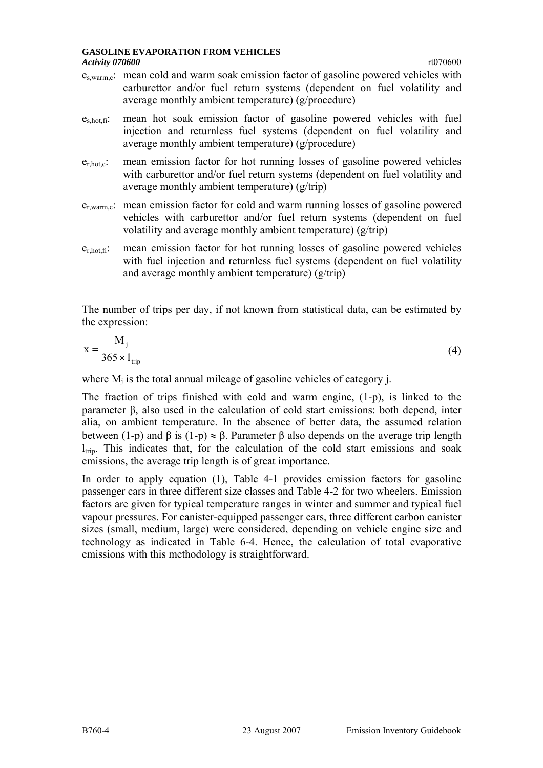|                  | $e_{s, warm,c}$ : mean cold and warm soak emission factor of gasoline powered vehicles with<br>carburettor and/or fuel return systems (dependent on fuel volatility and<br>average monthly ambient temperature) (g/procedure)          |
|------------------|----------------------------------------------------------------------------------------------------------------------------------------------------------------------------------------------------------------------------------------|
| $e_{s,hot,fi}$ : | mean hot soak emission factor of gasoline powered vehicles with fuel<br>injection and returnless fuel systems (dependent on fuel volatility and<br>average monthly ambient temperature) (g/procedure)                                  |
| $e_{r,hot,c}$ :  | mean emission factor for hot running losses of gasoline powered vehicles<br>with carburettor and/or fuel return systems (dependent on fuel volatility and<br>average monthly ambient temperature) $(g/\text{trip})$                    |
|                  | $e_{r, warm,c}$ : mean emission factor for cold and warm running losses of gasoline powered<br>vehicles with carburettor and/or fuel return systems (dependent on fuel<br>volatility and average monthly ambient temperature) (g/trip) |

er,hot,fi: mean emission factor for hot running losses of gasoline powered vehicles with fuel injection and returnless fuel systems (dependent on fuel volatility and average monthly ambient temperature) (g/trip)

The number of trips per day, if not known from statistical data, can be estimated by the expression:

$$
x = \frac{M_j}{365 \times l_{\text{trip}}} \tag{4}
$$

where  $M_i$  is the total annual mileage of gasoline vehicles of category j.

The fraction of trips finished with cold and warm engine, (1-p), is linked to the parameter β, also used in the calculation of cold start emissions: both depend, inter alia, on ambient temperature. In the absence of better data, the assumed relation between (1-p) and  $\beta$  is (1-p)  $\approx \beta$ . Parameter  $\beta$  also depends on the average trip length  $l_{\text{trip}}$ . This indicates that, for the calculation of the cold start emissions and soak emissions, the average trip length is of great importance.

In order to apply equation [\(1\),](#page-2-0) [Table 4-1](#page-4-0) provides emission factors for gasoline passenger cars in three different size classes and [Table 4-2](#page-5-0) for two wheelers. Emission factors are given for typical temperature ranges in winter and summer and typical fuel vapour pressures. For canister-equipped passenger cars, three different carbon canister sizes (small, medium, large) were considered, depending on vehicle engine size and technology as indicated in [Table 6-4.](#page-10-0) Hence, the calculation of total evaporative emissions with this methodology is straightforward.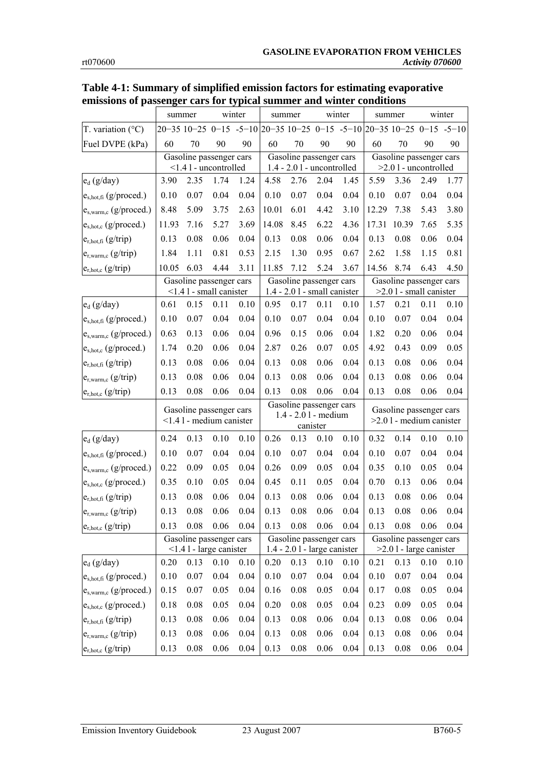|                                   |       | summer                                                    |      | winter                                                                 |                                                              | summer                                                   |      | winter |                                                      | summer                                               |      | winter |
|-----------------------------------|-------|-----------------------------------------------------------|------|------------------------------------------------------------------------|--------------------------------------------------------------|----------------------------------------------------------|------|--------|------------------------------------------------------|------------------------------------------------------|------|--------|
| T. variation $(^{\circ}C)$        |       |                                                           |      | $20-35$ 10-25 0-15 -5-10 20-35 10-25 0-15 -5-10 20-35 10-25 0-15 -5-10 |                                                              |                                                          |      |        |                                                      |                                                      |      |        |
| Fuel DVPE (kPa)                   | 60    | 70                                                        | 90   | 90                                                                     | 60                                                           | 70                                                       | 90   | 90     | 60                                                   | 70                                                   | 90   | 90     |
|                                   |       | Gasoline passenger cars<br><1.4 l - uncontrolled          |      |                                                                        |                                                              | Gasoline passenger cars<br>$1.4 - 2.01$ - uncontrolled   |      |        | Gasoline passenger cars<br>$>2.0$ l - uncontrolled   |                                                      |      |        |
| $e_d$ (g/day)                     | 3.90  | 2.35                                                      | 1.74 | 1.24                                                                   | 4.58                                                         | 2.76                                                     | 2.04 | 1.45   | 5.59                                                 | 3.36                                                 | 2.49 | 1.77   |
| e <sub>s,hot,fi</sub> (g/proced.) | 0.10  | 0.07                                                      | 0.04 | 0.04                                                                   | 0.10                                                         | 0.07                                                     | 0.04 | 0.04   | 0.10                                                 | 0.07                                                 | 0.04 | 0.04   |
| e <sub>s,warm,c</sub> (g/proced.) | 8.48  | 5.09                                                      | 3.75 | 2.63                                                                   | 10.01                                                        | 6.01                                                     | 4.42 | 3.10   | 12.29                                                | 7.38                                                 | 5.43 | 3.80   |
| e <sub>s,hot,c</sub> (g/proced.)  | 11.93 | 7.16                                                      | 5.27 | 3.69                                                                   | 14.08                                                        | 8.45                                                     | 6.22 | 4.36   | 17.31                                                | 10.39                                                | 7.65 | 5.35   |
| $e_{r,hot,fi}$ (g/trip)           | 0.13  | 0.08                                                      | 0.06 | 0.04                                                                   | 0.13                                                         | 0.08                                                     | 0.06 | 0.04   | 0.13                                                 | 0.08                                                 | 0.06 | 0.04   |
| $e_{r, warm,c}$ (g/trip)          | 1.84  | 1.11                                                      | 0.81 | 0.53                                                                   | 2.15                                                         | 1.30                                                     | 0.95 | 0.67   | 2.62                                                 | 1.58                                                 | 1.15 | 0.81   |
| $e_{r,hot,c}$ (g/trip)            | 10.05 | 6.03                                                      | 4.44 | 3.11                                                                   | 11.85                                                        | 7.12                                                     | 5.24 | 3.67   | 14.56                                                | 8.74                                                 | 6.43 | 4.50   |
|                                   |       | Gasoline passenger cars<br><1.4 l - small canister        |      |                                                                        |                                                              | Gasoline passenger cars<br>$1.4 - 2.01$ - small canister |      |        |                                                      | Gasoline passenger cars<br>$>2.01$ - small canister  |      |        |
| $e_d$ (g/day)                     | 0.61  | 0.15                                                      | 0.11 | 0.10                                                                   | 0.95                                                         | 0.17                                                     | 0.11 | 0.10   | 1.57                                                 | 0.21                                                 | 0.11 | 0.10   |
| $e_{s,hot,fi}$ (g/proced.)        | 0.10  | 0.07                                                      | 0.04 | 0.04                                                                   | 0.10                                                         | 0.07                                                     | 0.04 | 0.04   | 0.10                                                 | 0.07                                                 | 0.04 | 0.04   |
| e <sub>s,warm,c</sub> (g/proced.) | 0.63  | 0.13                                                      | 0.06 | 0.04                                                                   | 0.96                                                         | 0.15                                                     | 0.06 | 0.04   | 1.82                                                 | 0.20                                                 | 0.06 | 0.04   |
| $e_{s,hot,c}$ (g/proced.)         | 1.74  | 0.20                                                      | 0.06 | 0.04                                                                   | 2.87                                                         | 0.26                                                     | 0.07 | 0.05   | 4.92                                                 | 0.43                                                 | 0.09 | 0.05   |
| $e_{r,hot,fi}$ (g/trip)           | 0.13  | 0.08                                                      | 0.06 | 0.04                                                                   | 0.13                                                         | 0.08                                                     | 0.06 | 0.04   | 0.13                                                 | 0.08                                                 | 0.06 | 0.04   |
| $e_{r, warm,c}$ (g/trip)          | 0.13  | 0.08                                                      | 0.06 | 0.04                                                                   | 0.13                                                         | 0.08                                                     | 0.06 | 0.04   | 0.13                                                 | 0.08                                                 | 0.06 | 0.04   |
| $e_{r,hot,c}$ (g/trip)            | 0.13  | 0.08                                                      | 0.06 | 0.04                                                                   | 0.13                                                         | 0.08                                                     | 0.06 | 0.04   | 0.13                                                 | 0.08                                                 | 0.06 | 0.04   |
|                                   |       | Gasoline passenger cars<br>$\leq$ 1.4 l - medium canister |      |                                                                        | Gasoline passenger cars<br>$1.4 - 2.01$ - medium<br>canister |                                                          |      |        | Gasoline passenger cars<br>$>2.01$ - medium canister |                                                      |      |        |
| $e_d$ (g/day)                     | 0.24  | 0.13                                                      | 0.10 | 0.10                                                                   | 0.26                                                         | 0.13                                                     | 0.10 | 0.10   | 0.32                                                 | 0.14                                                 | 0.10 | 0.10   |
| $e_{s,hot,fi}$ (g/proced.)        | 0.10  | 0.07                                                      | 0.04 | 0.04                                                                   | 0.10                                                         | 0.07                                                     | 0.04 | 0.04   | 0.10                                                 | 0.07                                                 | 0.04 | 0.04   |
| $e_{s, warm,c}$ (g/proced.)       | 0.22  | 0.09                                                      | 0.05 | 0.04                                                                   | 0.26                                                         | 0.09                                                     | 0.05 | 0.04   | 0.35                                                 | 0.10                                                 | 0.05 | 0.04   |
| $e_{s,hot,c}$ (g/proced.)         | 0.35  | 0.10                                                      | 0.05 | 0.04                                                                   | 0.45                                                         | 0.11                                                     | 0.05 | 0.04   | 0.70                                                 | 0.13                                                 | 0.06 | 0.04   |
| $e_{r,hot,fi}$ (g/trip)           | 0.13  | 0.08                                                      | 0.06 | 0.04                                                                   | 0.13                                                         | 0.08                                                     | 0.06 | 0.04   | 0.13                                                 | 0.08                                                 | 0.06 | 0.04   |
| $e_{r, warm,c}$ (g/trip)          | 0.13  | 0.08                                                      | 0.06 | 0.04                                                                   | 0.13                                                         | 0.08                                                     | 0.06 | 0.04   | 0.13                                                 | 0.08                                                 | 0.06 | 0.04   |
| $e_{r,hot,c}$ (g/trip)            | 0.13  | 0.08                                                      | 0.06 | 0.04                                                                   | 0.13                                                         | 0.08                                                     | 0.06 | 0.04   | 0.13                                                 | 0.08                                                 | 0.06 | 0.04   |
|                                   |       | Gasoline passenger cars<br>$<$ 1.4 l - large canister     |      |                                                                        |                                                              | Gasoline passenger cars<br>$1.4 - 2.01$ - large canister |      |        |                                                      | Gasoline passenger cars<br>$>2.0$ l - large canister |      |        |
| $e_d$ (g/day)                     | 0.20  | 0.13                                                      | 0.10 | 0.10                                                                   | 0.20                                                         | 0.13                                                     | 0.10 | 0.10   | 0.21                                                 | 0.13                                                 | 0.10 | 0.10   |
| $e_{s,hot,fi}$ (g/proced.)        | 0.10  | 0.07                                                      | 0.04 | 0.04                                                                   | 0.10                                                         | 0.07                                                     | 0.04 | 0.04   | $0.10\,$                                             | 0.07                                                 | 0.04 | 0.04   |
| e <sub>s,warm,c</sub> (g/proced.) | 0.15  | 0.07                                                      | 0.05 | 0.04                                                                   | 0.16                                                         | 0.08                                                     | 0.05 | 0.04   | 0.17                                                 | 0.08                                                 | 0.05 | 0.04   |
| $e_{s,hot,c}$ (g/proced.)         | 0.18  | 0.08                                                      | 0.05 | 0.04                                                                   | 0.20                                                         | 0.08                                                     | 0.05 | 0.04   | 0.23                                                 | 0.09                                                 | 0.05 | 0.04   |
| $e_{r,hot,fi}$ (g/trip)           | 0.13  | 0.08                                                      | 0.06 | 0.04                                                                   | 0.13                                                         | 0.08                                                     | 0.06 | 0.04   | 0.13                                                 | 0.08                                                 | 0.06 | 0.04   |
| $e_{r, warm,c}$ (g/trip)          | 0.13  | 0.08                                                      | 0.06 | 0.04                                                                   | 0.13                                                         | 0.08                                                     | 0.06 | 0.04   | 0.13                                                 | 0.08                                                 | 0.06 | 0.04   |
| $e_{r,hot,c}$ (g/trip)            | 0.13  | $0.08\,$                                                  | 0.06 | 0.04                                                                   | 0.13                                                         | $0.08\,$                                                 | 0.06 | 0.04   | 0.13                                                 | 0.08                                                 | 0.06 | 0.04   |

#### <span id="page-4-0"></span>**Table 4-1: Summary of simplified emission factors for estimating evaporative emissions of passenger cars for typical summer and winter conditions**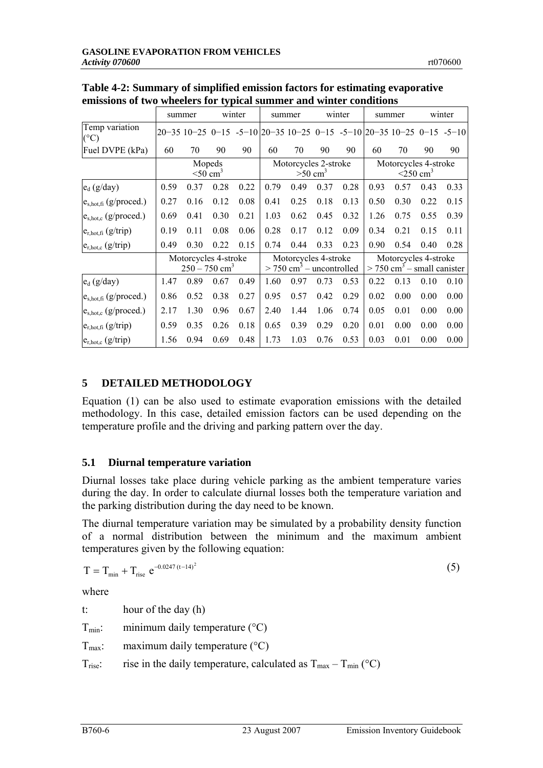|                                  | summer |                                                     |      | winter |                                                                | summer                                        |      | winter | summer                                                           |                                                                                                          | winter |      |
|----------------------------------|--------|-----------------------------------------------------|------|--------|----------------------------------------------------------------|-----------------------------------------------|------|--------|------------------------------------------------------------------|----------------------------------------------------------------------------------------------------------|--------|------|
| Temp variation<br>$(^{\circ}C)$  |        |                                                     |      |        |                                                                |                                               |      |        |                                                                  | $20-35$ 10-25 0-15 -5-10 $\left  20-35 \right  10-25$ 0-15 -5-10 $\left  20-35 \right  10-25$ 0-15 -5-10 |        |      |
| Fuel DVPE (kPa)                  | 60     | 70                                                  | 90   | 90     | 60                                                             | 70                                            | 90   | 90     | 60                                                               | 70                                                                                                       | 90     | 90   |
|                                  |        | Mopeds<br>$<$ 50 cm <sup>3</sup>                    |      |        |                                                                | Motorcycles 2-stroke<br>$>50$ cm <sup>3</sup> |      |        | Motorcycles 4-stroke<br>$<$ 250 cm <sup>3</sup>                  |                                                                                                          |        |      |
| $e_d$ (g/day)                    | 0.59   | 0.37                                                | 0.28 | 0.22   | 0.79                                                           | 0.49                                          | 0.37 | 0.28   | 0.93                                                             | 0.57                                                                                                     | 0.43   | 0.33 |
| $e_{s,hot,fi}$ (g/proced.)       | 0.27   | 0.16                                                | 0.12 | 0.08   | 0.41                                                           | 0.25                                          | 0.18 | 0.13   | 0.50                                                             | 0.30                                                                                                     | 0.22   | 0.15 |
| $e_{s,hot,c}$ (g/proced.)        | 0.69   | 0.41                                                | 0.30 | 0.21   | 1.03                                                           | 0.62                                          | 0.45 | 0.32   | 1.26                                                             | 0.75                                                                                                     | 0.55   | 0.39 |
| $e_{r,hot,fi}$ (g/trip)          | 0.19   | 0.11                                                | 0.08 | 0.06   | 0.28                                                           | 0.17                                          | 0.12 | 0.09   | 0.34                                                             | 0.21                                                                                                     | 0.15   | 0.11 |
| $e_{r,hot,c}$ (g/trip)           | 0.49   | 0.30                                                | 0.22 | 0.15   | 0.74                                                           | 0.44                                          | 0.33 | 0.23   | 0.90                                                             | 0.54                                                                                                     | 0.40   | 0.28 |
|                                  |        | Motorcycles 4-stroke<br>$250 - 750$ cm <sup>3</sup> |      |        | Motorcycles 4-stroke<br>$>$ 750 cm <sup>3</sup> – uncontrolled |                                               |      |        | Motorcycles 4-stroke<br>$>$ 750 cm <sup>3</sup> – small canister |                                                                                                          |        |      |
| $e_d$ (g/day)                    | 1.47   | 0.89                                                | 0.67 | 0.49   | 1.60                                                           | 0.97                                          | 0.73 | 0.53   | 0.22                                                             | 0.13                                                                                                     | 0.10   | 0.10 |
| $e_{s,hot,fi}$ (g/proced.)       | 0.86   | 0.52                                                | 0.38 | 0.27   | 0.95                                                           | 0.57                                          | 0.42 | 0.29   | 0.02                                                             | 0.00                                                                                                     | 0.00   | 0.00 |
| e <sub>s,hot,c</sub> (g/proced.) | 2.17   | 1.30                                                | 0.96 | 0.67   | 2.40                                                           | 1.44                                          | 1.06 | 0.74   | 0.05                                                             | 0.01                                                                                                     | 0.00   | 0.00 |
| $e_{r,hot,fi}$ (g/trip)          | 0.59   | 0.35                                                | 0.26 | 0.18   | 0.65                                                           | 0.39                                          | 0.29 | 0.20   | 0.01                                                             | 0.00                                                                                                     | 0.00   | 0.00 |
| $e_{r,hot,c}$ (g/trip)           | 1.56   | 0.94                                                | 0.69 | 0.48   | 1.73                                                           | 1.03                                          | 0.76 | 0.53   | 0.03                                                             | 0.01                                                                                                     | 0.00   | 0.00 |

<span id="page-5-0"></span>**Table 4-2: Summary of simplified emission factors for estimating evaporative emissions of two wheelers for typical summer and winter conditions**

# **5 DETAILED METHODOLOGY**

Equation [\(1\)](#page-2-0) can be also used to estimate evaporation emissions with the detailed methodology. In this case, detailed emission factors can be used depending on the temperature profile and the driving and parking pattern over the day.

# **5.1 Diurnal temperature variation**

Diurnal losses take place during vehicle parking as the ambient temperature varies during the day. In order to calculate diurnal losses both the temperature variation and the parking distribution during the day need to be known.

The diurnal temperature variation may be simulated by a probability density function of a normal distribution between the minimum and the maximum ambient temperatures given by the following equation:

$$
T = T_{\min} + T_{\text{rise}} e^{-0.0247 \, (t - 14)^2}
$$
 (5)

where

t: hour of the day (h)  $T_{min}$ : minimum daily temperature ( $\degree$ C)  $T<sub>max</sub>$ : maximum daily temperature (°C)  $T_{\text{rise}}$ : rise in the daily temperature, calculated as  $T_{\text{max}} - T_{\text{min}}$  (°C)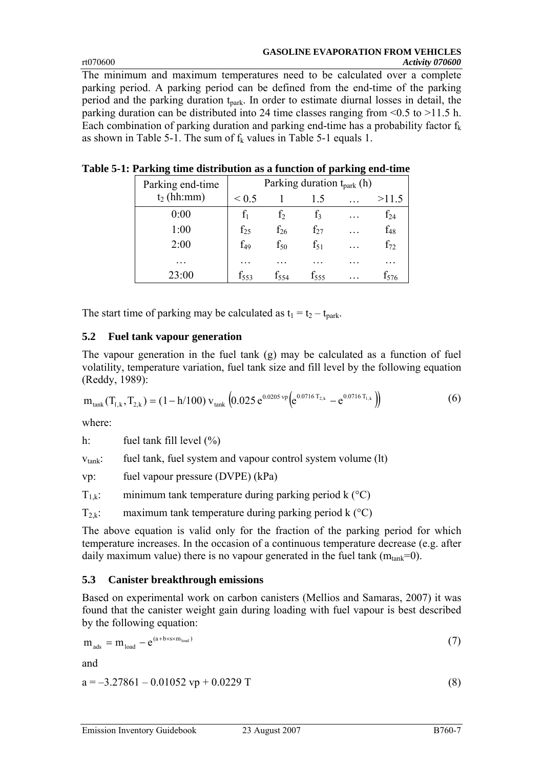#### **GASOLINE EVAPORATION FROM VEHICLES**  rt070600 *Activity 070600*

The minimum and maximum temperatures need to be calculated over a complete parking period. A parking period can be defined from the end-time of the parking period and the parking duration  $t_{\text{park}}$ . In order to estimate diurnal losses in detail, the parking duration can be distributed into 24 time classes ranging from  $\leq 0.5$  to  $> 11.5$  h. Each combination of parking duration and parking end-time has a probability factor  $f_k$ as shown in [Table 5-1.](#page-6-0) The sum of  $f_k$  values in [Table 5-1](#page-6-0) equals 1.

| Parking end-time | Parking duration $t_{\text{park}}$ (h) |          |           |   |          |  |  |  |  |  |
|------------------|----------------------------------------|----------|-----------|---|----------|--|--|--|--|--|
| $t_2$ (hh:mm)    | ${}_{0.5}$                             |          | 1.5       |   | >11.5    |  |  |  |  |  |
| 0:00             |                                        | İ٥       | İ٦        |   | f24      |  |  |  |  |  |
| 1:00             | $f_{25}$                               | $f_{26}$ | $f_{27}$  | . | $f_{48}$ |  |  |  |  |  |
| 2:00             | $f_{49}$                               | $f_{50}$ | $f_{51}$  | . | $f_{72}$ |  |  |  |  |  |
|                  |                                        |          |           |   |          |  |  |  |  |  |
| 23:00            | 1553                                   | I554     | $f_{555}$ |   | f576     |  |  |  |  |  |

# <span id="page-6-0"></span>**Table 5-1: Parking time distribution as a function of parking end-time**

The start time of parking may be calculated as  $t_1 = t_2 - t_{park}$ .

# **5.2 Fuel tank vapour generation**

The vapour generation in the fuel tank (g) may be calculated as a function of fuel volatility, temperature variation, fuel tank size and fill level by the following equation (Reddy, 1989):

<span id="page-6-2"></span>
$$
m_{\text{tank}}(T_{1,k}, T_{2,k}) = (1 - h/100) v_{\text{tank}} \left( 0.025 e^{0.0205 \text{ vp}} \left( e^{0.0716 T_{2,k}} - e^{0.0716 T_{1,k}} \right) \right) \tag{6}
$$

where:

h: fuel tank fill level  $(\%)$ 

 $v<sub>tank</sub>$ : fuel tank, fuel system and vapour control system volume (lt)

vp: fuel vapour pressure (DVPE) (kPa)

 $T_{1,k}$ : minimum tank temperature during parking period k ( $^{\circ}$ C)

 $T_{2,k}$ : maximum tank temperature during parking period k ( ${}^{\circ}C$ )

The above equation is valid only for the fraction of the parking period for which temperature increases. In the occasion of a continuous temperature decrease (e.g. after daily maximum value) there is no vapour generated in the fuel tank  $(m<sub>tank</sub>=0)$ .

# **5.3 Canister breakthrough emissions**

Based on experimental work on carbon canisters (Mellios and Samaras, 2007) it was found that the canister weight gain during loading with fuel vapour is best described by the following equation:

<span id="page-6-1"></span>
$$
m_{ads} = m_{load} - e^{(a + b \times s \times m_{load})}
$$
 (7)

and

$$
a = -3.27861 - 0.01052 vp + 0.0229 T
$$
\n(8)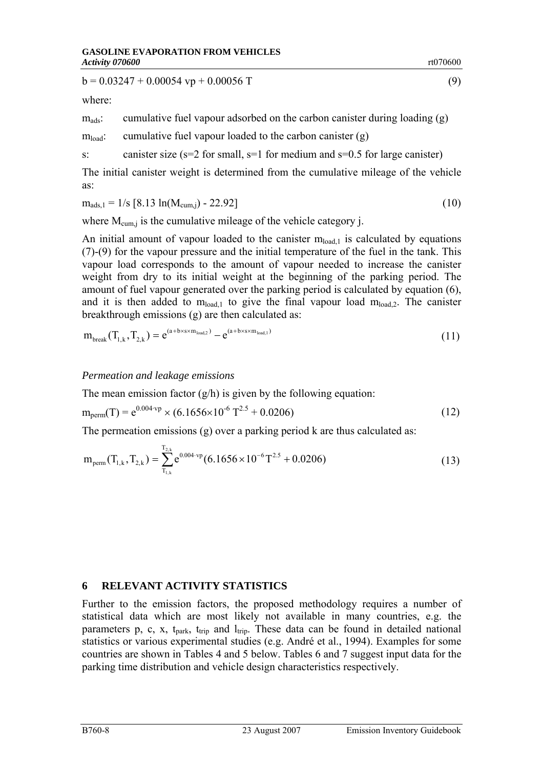<span id="page-7-0"></span> $b = 0.03247 + 0.00054$  vp + 0.00056 T (9)

where:

 $m_{ads}$ : cumulative fuel vapour adsorbed on the carbon canister during loading (g)

 $m_{load}$ : cumulative fuel vapour loaded to the carbon canister (g)

s: canister size  $(s=2$  for small,  $s=1$  for medium and  $s=0.5$  for large canister)

The initial canister weight is determined from the cumulative mileage of the vehicle as:

$$
m_{ads,1} = 1/s [8.13 ln(M_{cum,j}) - 22.92]
$$
 (10)

where  $M_{\text{cum i}}$  is the cumulative mileage of the vehicle category j.

An initial amount of vapour loaded to the canister  $m_{load,1}$  is calculated by equations [\(7\)-](#page-6-1)[\(9\)](#page-7-0) for the vapour pressure and the initial temperature of the fuel in the tank. This vapour load corresponds to the amount of vapour needed to increase the canister weight from dry to its initial weight at the beginning of the parking period. The amount of fuel vapour generated over the parking period is calculated by equation [\(6\),](#page-6-2) and it is then added to  $m_{load,1}$  to give the final vapour load  $m_{load,2}$ . The canister breakthrough emissions (g) are then calculated as:

<span id="page-7-1"></span>
$$
m_{break}(T_{1,k}, T_{2,k}) = e^{(a + b \times s \times m_{load,2})} - e^{(a + b \times s \times m_{load,1})}
$$
(11)

#### *Permeation and leakage emissions*

The mean emission factor  $(g/h)$  is given by the following equation:

$$
m_{\text{perm}}(T) = e^{0.004 \cdot v_p} \times (6.1656 \times 10^{-6} T^{2.5} + 0.0206)
$$
 (12)

The permeation emissions (g) over a parking period k are thus calculated as:

<span id="page-7-2"></span>
$$
m_{perm}(T_{1,k}, T_{2,k}) = \sum_{T_{1,k}}^{T_{2,k}} e^{0.004 \cdot vp} (6.1656 \times 10^{-6} T^{2.5} + 0.0206)
$$
 (13)

#### **6 RELEVANT ACTIVITY STATISTICS**

Further to the emission factors, the proposed methodology requires a number of statistical data which are most likely not available in many countries, e.g. the parameters p, c, x,  $t_{park}$ ,  $t_{trip}$  and  $l_{trip}$ . These data can be found in detailed national statistics or various experimental studies (e.g. André et al., 1994). Examples for some countries are shown in Tables 4 and 5 below. Tables 6 and 7 suggest input data for the parking time distribution and vehicle design characteristics respectively.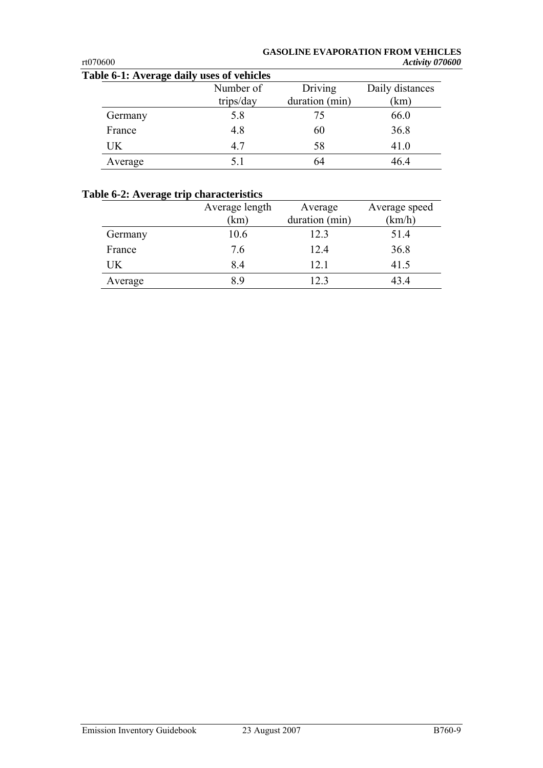# **GASOLINE EVAPORATION FROM VEHICLES**

| rt070600                                  |           |                | Activity 070600 |
|-------------------------------------------|-----------|----------------|-----------------|
| Table 6-1: Average daily uses of vehicles |           |                |                 |
|                                           | Number of | Driving        | Daily distances |
|                                           | trips/day | duration (min) | (km)            |
| Germany                                   | 5.8       | 75             | 66.0            |
| France                                    | 4.8       | 60             | 36.8            |
| <b>UK</b>                                 | 4.7       | 58             | 41.0            |
| Average                                   | 5.1       | 64             | 46.4            |

### **Table 6-2: Average trip characteristics**

|         | Average length<br>(km) | Average<br>duration (min) | Average speed<br>(km/h) |
|---------|------------------------|---------------------------|-------------------------|
| Germany | 10.6                   | 12.3                      | 51.4                    |
| France  | 7.6                    | 12.4                      | 36.8                    |
| UK      | 8.4                    | 12.1                      | 41.5                    |
| Average | 89                     | 12.3                      | 43 4                    |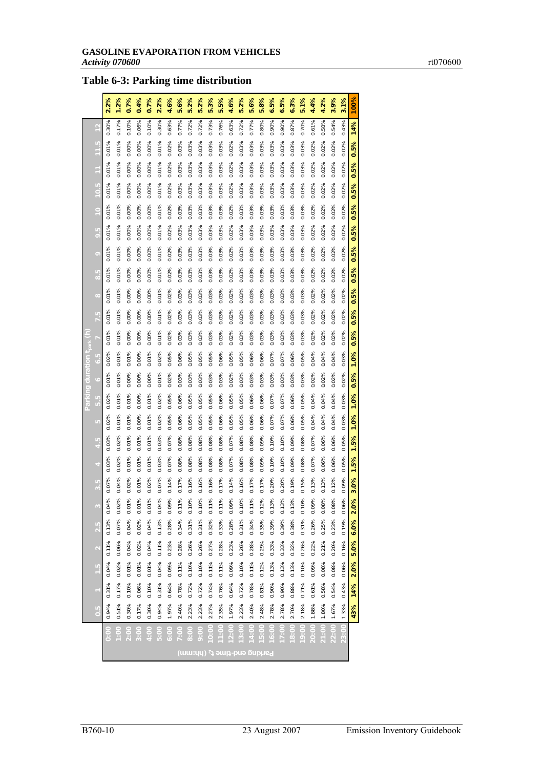# **Table 6-3: Parking time distribution**

|         |                 | 2.2%  | 1.2%          | 0.7%          | 0.4%        | 0.7%          | 2.2%          | 4.6%        | 5.6%       | 5.2%               | 5.2%  | 5.3%                    | 5.5%                    | 4.6%     | 5.2%                                    | 5.6%       | 5.8%                    | 6.5%                    | 6.5%       | 6.3%       | 5.1%     | 4.4%     | 4.2%     | 3.9%     | 3.1%                 | 100%        |
|---------|-----------------|-------|---------------|---------------|-------------|---------------|---------------|-------------|------------|--------------------|-------|-------------------------|-------------------------|----------|-----------------------------------------|------------|-------------------------|-------------------------|------------|------------|----------|----------|----------|----------|----------------------|-------------|
|         |                 | 0.30% | 0.17%         | 0.10%         | 0.06%       | 0.10%         | 0.30%         | 0.63%       | 0.77%      | 0.72%              | 0.72% | 0.73%                   | 0.76%                   | 0.63%    | 0.72%                                   | 0.77%      | 0.80%                   | 0.90%                   | 0.90%      | 0.87%      | 0.70%    | 0.61%    | 0.58%    | 0.54%    | 0.43%                | 14%         |
|         |                 | 0.01% | 0.01%         | $0.00\%$      | $0.00\%$    | $0.00\%$      | 0.01%         | 0.02%       | 0.03%      | 0.03%              | 0.03% | 0.03%                   | 0.03%                   | $0.02\%$ | 0.03%                                   | 0.03%      | 0.03%                   | 0.03%                   | 0.03%      | 0.03%      | 0.03%    | 0.02%    | 0.02%    | $0.02\%$ | 0.02%                | 0.5%        |
|         |                 | 0.01% | 0.01%         | 0.00%         | 0.00%       | 0.00%         | 0.01%         | 0.02%       | 0.03%      | 0.03%              | 0.03% | 0.03%                   | 0.03%                   | 0.02%    | 0.03%                                   | 0.03%      | 0.03%                   | 0.03%                   | 0.03%      | 0.03%      | 0.03%    | 0.02%    | 0.02%    | 0.02%    | 0.02%                | 0.5%        |
|         |                 | 0.01% | 0.01%         | 0.00%         | 0.00%       | 0.00%         | 0.01%         | 0.02%       | 0.03%      | 0.03%              | 0.03% | 0.03%                   | 0.03%                   | 0.02%    | 0.03%                                   | 0.03%      | 0.03%                   | 0.03%                   | 0.03%      | 0.03%      | 0.03%    | 0.02%    | 0.02%    | 0.02%    | 0.02%                | 0.5%        |
|         | c               | 0.01% | 0.01%         | 0.00%         | 0.00%       | 0.00%         | 0.01%         | 0.02%       | 0.03%      | 0.03%              | 0.03% | 0.03%                   | 0.03%                   | 0.02%    | 0.03%                                   | 0.03%      | 0.03%                   | 0.03%                   | 0.03%      | 0.03%      | 0.03%    | 0.02%    | 0.02%    | 0.02%    | 0.02%                | 0.5%        |
|         | G               | 0.01% | 0.01%         | $0.00\%$      | 0.00%       | 0.00%         | 0.01%         | $0.02\%$    | 0.03%      | 0.03%              | 0.03% | 0.03%                   | 0.03%                   | 0.02%    | 0.03%                                   | 0.03%      | 0.03%                   | 0.03%                   | 0.03%      | 0.03%      | 0.03%    | 0.02%    | 0.02%    | $0.02\%$ | 0.02%                | 0.5%        |
|         | $\circ$         | 0.01% | 0.01%         | 0.00%         | 0.00%       | 0.00%         | 0.01%         | 0.02%       | 0.03%      | 0.03%              | 0.03% | 0.03%                   | 0.03%                   | 0.02%    | 0.03%                                   | 0.03%      | 0.03%                   | 0.03%                   | 0.03%      | 0.03%      | 0.03%    | 0.02%    | 0.02%    | 0.02%    | 0.02%                | 0.5%        |
|         | $\alpha$        | 0.01% | 0.01%         | $0.00\%$      | 0.00%       | $0.00\%$      | 0.01%         | 0.02%       | 0.03%      | $0.03\%$           | 0.03% | 0.03%                   | 0.03%                   | 0.02%    | 0.03%                                   | 0.03%      | 0.03%                   | 0.03%                   | 0.03%      | 0.03%      | 0.03%    | 0.02%    | $0.02\%$ | $0.02\%$ | 0.02%                | 0.5%        |
|         | $\mathbf{C}$    | 0.01% | 0.01%         | 0.00%         | 0.00%       | 0.00%         | 0.01%         | 0.02%       | 0.03%      | 0.03%              | 0.03% | 0.03%                   | 0.03%                   | 0.02%    | 0.03%                                   | 0.03%      | 0.03%                   | 0.03%                   | 0.03%      | 0.03%      | 0.03%    | 0.02%    | 0.02%    | 0.02%    | 0.02%                | 0.5%        |
|         | 7.5             | 0.01% | 0.01%         | 0.00%         | 0.00%       | 0.00%         | 0.01%         | 0.02%       | 0.03%      | 0.03%              | 0.03% | 0.03%                   | 0.03%                   | 0.02%    | 0.03%                                   | 0.03%      | 0.03%                   | 0.03%                   | 0.03%      | 0.03%      | 0.03%    | 0.02%    | 0.02%    | 0.02%    | 0.02%                | 0.5%        |
|         |                 | 0.01% | 0.01%         | 0.00%         | 0.00%       | 0.00%         | 0.01%         | 0.02%       | 0.03%      | 0.03%              | 0.03% | 0.03%                   | 0.03%                   | 0.02%    | 0.03%                                   | 0.03%      | 0.03%                   | 0.03%                   | 0.03%      | 0.03%      | 0.03%    | 0.02%    | 0.02%    | 0.02%    | 0.02%                | 0.5%        |
| tion    | r R             | 0.02% | 0.01%         | 0.01%         | 0.00%       | 0.01%         | 0.02%         | 0.05%       | 0.06%      | 0.05%              | 0.05% | 0.05%                   | 0.06%                   | 0.05%    | 0.05%                                   | 0.06%      | 0.06%                   | 0.07%                   | 0.07%      | 0.06%      | 0.05%    | 0.04%    | 0.04%    | 0.04%    | 0.03%                | 1.0%        |
| ng dura |                 | 0.01% | 0.01%         | 0.00%         | 0.00%       | 0.00%         | 0.01%         | 0.02%       | 0.03%      | 0.03%              | 0.03% | 0.03%                   | 0.03%                   | 0.02%    | 0.03%                                   | 0.03%      | 0.03%                   | 0.03%                   | 0.03%      | 0.03%      | 0.03%    | 0.02%    | 0.02%    | 0.02%    | 0.02%                | 0.5%        |
| Parki   | $\frac{5}{5}$ . | 0.02% | 0.01%         | 0.01%         | 0.00%       | 0.01%         | 0.02%         | 0.05%       | 0.06%      | 0.05%              | 0.05% | 0.05%                   | 0.06%                   | 0.05%    | 0.05%                                   | 0.06%      | 0.06%                   | 0.07%                   | 0.07%      | 0.06%      | 0.05%    | 0.04%    | 0.04%    | 0.04%    | 0.03%                | 1.0%        |
|         | K               | 0.02% | 0.01%         | 0.01%         | 0.00%       | 0.01%         | 0.02%         | 0.05%       | 0.06%      | 0.05%              | 0.05% | 0.05%                   | 0.06%                   | 0.05%    | 0.05%                                   | 0.06%      | 0.06%                   | 0.07%                   | 0.07%      | 0.06%      | 0.05%    | 0.04%    | 0.04%    | 0.04%    | 0.03%                | 1.0%        |
|         |                 | 0.03% | 0.02%         | 0.01%         | 0.01%       | 0.01%         | 0.03%         | 0.07%       | 0.08%      | 0.08%              | 0.08% | 0.08%                   | 0.08%                   | 0.07%    | 0.08%                                   | 0.08%      | 0.09%                   | 0.10%                   | 0.10%      | 0.09%      | 0.08%    | 0.07%    | 0.06%    | 0.06%    | 0.05%                | 1.5%        |
|         |                 | 0.03% | 0.02%         | 0.01%         | 0.01%       | 0.01%         | 0.03%         | 0.07%       | 0.08%      | 0.08%              | 0.08% | 0.08%                   | 0.08%                   | 0.07%    | 0.08%                                   | 0.08%      | 0.09%                   | 0.10%                   | 0.10%      | 0.09%      | 0.08%    | 0.07%    | 0.06%    | 0.06%    | 0.05%                | 1.5%        |
|         | Ľ,              | 0.07% | 0.04%         | 0.02%         | 0.01%       | 0.02%         | 0.07%         | 0.14%       | 0.17%      | 0.16%              | 0.16% | 0.16%                   | 0.17%                   | 0.14%    | 0.16%                                   | 0.17%      | 0.17%                   | 0.20%                   | 0.20%      | 0.19%      | 0.15%    | 0.13%    | 0.13%    | 0.12%    | 0.09%                | 3.0%        |
|         |                 | 0.04% | 0.02%         | ℅             | ℅           | ℅             | 4%            | 0.09%       | ℅          | 0%                 | 0.10% | %                       | $\%$                    | 0.09%    | 0.10%                                   | $1\%$      | 2%                      | 3%                      | 3%         | 3%         | 0.10%    | 0.09%    | 0.08%    | 0.08%    | 6%                   | X           |
|         |                 | 0.13% | 0.07%         | 0.01<br>0.04% | ò.<br>0.02% | 0.01<br>0.04% | 0.04<br>0.13% | 0.28%       | 5<br>0.34% | $\bar{5}$<br>0.31% | 0.31% | $\overline{0}$<br>0.32% | $\overline{0}$<br>0.33% | 0.28%    | 0.31%                                   | 5<br>0.34% | $\overline{0}$<br>0.35% | $\overline{0}$<br>0.39% | 5<br>0.39% | 5<br>0.38% | 0.31%    | 0.26%    | 0.25%    | 0.23%    | $\tilde{c}$<br>0.19% | 2.0<br>6.0% |
|         | G               | 0.11% | 0.06%         | 0.04%         | $0.02\%$    | 0.04%         | 0.11%         | 0.23%       | 0.28%      | 0.26%              | 0.26% | 0.27%                   | 0.28%                   | 0.23%    | 0.26%                                   | 0.28%      | 0.29%                   | 0.33%                   | 0.33%      | 0.32%      | 0.26%    | 0.22%    | 0.21%    | $0.20\%$ | 0.16%                | 5.0%        |
|         |                 | 0.04% | 0.02%         | 0.01%         | 0.01%       | 0.01%         | 0.04%         | 0.09%       | 0.11%      | 0.10%              | 0.10% | 0.11%                   | 0.11%                   | 0.09%    | 0.10%                                   | 0.11%      | 0.12%                   | 0.13%                   | 0.13%      | 0.13%      | 0.10%    | 0.09%    | 0.08%    | 0.08%    | 0.06%                | 2.0%        |
|         |                 |       |               |               |             |               |               |             |            |                    |       |                         |                         |          |                                         |            |                         |                         |            |            |          |          |          |          |                      |             |
|         |                 | 0.31% | 0.17%         | 0.10%         | 0.06%       | 0.10%         | 0.31%         | 0.64%       | 0.78%      | 0.72%              | 0.72% | 0.74%                   | 0.76%                   | 0.64%    | 0.72%                                   | 0.78%      | 0.81%                   | 0.90%                   | 0.90%      | 0.88%      | 0.71%    | 0.61%    | $0.58\%$ | 0.54%    | 0.43%                | 14%         |
|         | $\frac{5}{2}$   | 0.94% | 0.51%         | 0.30%         | 0.17%       | 0.30%         | 0.94%         | 1.97%       | 2.40%      | 2.23%              | 2.23% | 2.27%                   | 2.35%                   | 1.97%    | 2.23%                                   | 2.40%      | 2.48%                   | 2.78%                   | 2.78%      | 2.70%      | 2.18%    | 1.88%    | 1.80%    | 1.67%    | 1.33%                | 43%         |
|         |                 | oo:c  | $\frac{8}{2}$ | 200           |             | $rac{1}{2}$   | <b>DO:5</b>   | <b>00:9</b> |            | 8:00               | 9:00  |                         |                         | oo:2     | $rac{0}{3}$                             |            | 5:00                    | 6:00                    |            |            | oo:<br>9 | 00.<br>S | 21:00    | 22:00    |                      |             |
|         |                 |       |               |               |             |               |               |             |            |                    |       |                         |                         |          | Parking end-time t <sub>2</sub> (hh:mm) |            |                         |                         |            |            |          |          |          |          |                      |             |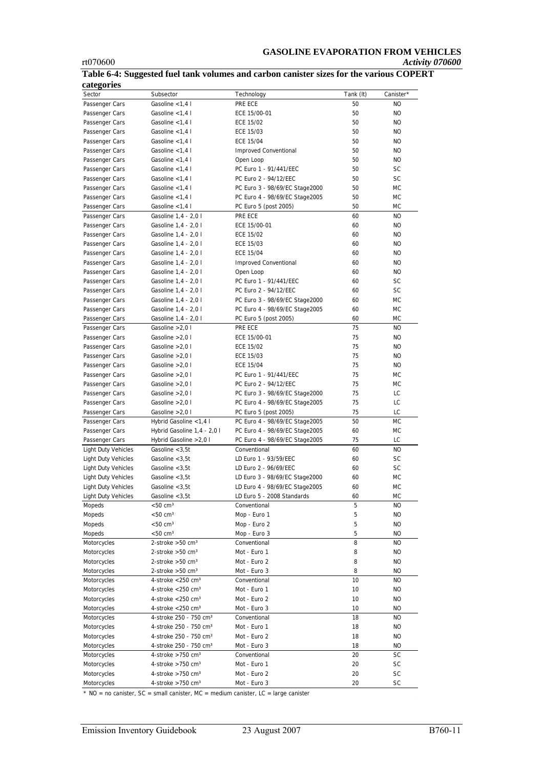#### **GASOLINE EVAPORATION FROM VEHICLES**  rt070600 *Activity 070600*

| categories                 |                                    |                                |           |           |
|----------------------------|------------------------------------|--------------------------------|-----------|-----------|
| Sector                     | Subsector                          | Technology                     | Tank (It) | Canister* |
| Passenger Cars             | Gasoline $<$ 1,4 l                 | PRE ECE                        | 50        | NO.       |
| Passenger Cars             | Gasoline $<$ 1,4 l                 | ECE 15/00-01                   | 50        | NO.       |
| Passenger Cars             | Gasoline $<$ 1,4 l                 | <b>ECE 15/02</b>               | 50        | NO.       |
| Passenger Cars             | Gasoline $<$ 1,4 l                 | ECE 15/03                      | 50        | <b>NO</b> |
| Passenger Cars             | Gasoline $<$ 1.4 l                 | <b>ECE 15/04</b>               | 50        | <b>NO</b> |
| Passenger Cars             | Gasoline $<$ 1,4 l                 | Improved Conventional          | 50        | <b>NO</b> |
| Passenger Cars             | Gasoline $<$ 1,4 l                 | Open Loop                      | 50        | <b>NO</b> |
| Passenger Cars             | Gasoline <1,4 l                    | PC Euro 1 - 91/441/EEC         | 50        | <b>SC</b> |
| Passenger Cars             | Gasoline $<$ 1,4 l                 | PC Euro 2 - 94/12/EEC          | 50        | SC        |
| Passenger Cars             | Gasoline $<$ 1,4 l                 | PC Euro 3 - 98/69/EC Stage2000 | 50        | МC        |
| Passenger Cars             | Gasoline <1,4 l                    | PC Euro 4 - 98/69/EC Stage2005 | 50        | МC        |
| Passenger Cars             | Gasoline $<$ 1,4 l                 | PC Euro 5 (post 2005)          | 50        | <b>MC</b> |
| Passenger Cars             | Gasoline 1,4 - 2,0 l               | PRE ECE                        | 60        | <b>NO</b> |
| Passenger Cars             | Gasoline 1,4 - 2,0 l               | ECE 15/00-01                   | 60        | <b>NO</b> |
| Passenger Cars             | Gasoline 1,4 - 2,0 l               | <b>ECE 15/02</b>               | 60        | <b>NO</b> |
| Passenger Cars             | Gasoline 1,4 - 2,0 l               | ECE 15/03                      | 60        | <b>NO</b> |
|                            |                                    | ECE 15/04                      | 60        | <b>NO</b> |
| Passenger Cars             | Gasoline 1,4 - 2,0 l               |                                |           |           |
| Passenger Cars             | Gasoline 1,4 - 2,0 l               | Improved Conventional          | 60        | <b>NO</b> |
| Passenger Cars             | Gasoline 1,4 - 2,0 l               | Open Loop                      | 60        | <b>NO</b> |
| Passenger Cars             | Gasoline 1,4 - 2,0 l               | PC Euro 1 - 91/441/EEC         | 60        | SC        |
| Passenger Cars             | Gasoline 1,4 - 2,0 l               | PC Euro 2 - 94/12/EEC          | 60        | SC        |
| Passenger Cars             | Gasoline 1,4 - 2,0 l               | PC Euro 3 - 98/69/EC Stage2000 | 60        | <b>MC</b> |
| Passenger Cars             | Gasoline 1,4 - 2,0 l               | PC Euro 4 - 98/69/EC Stage2005 | 60        | МC        |
| Passenger Cars             | Gasoline 1,4 - 2,0 l               | PC Euro 5 (post 2005)          | 60        | МC        |
| Passenger Cars             | Gasoline $>2,0$ l                  | PRE ECE                        | 75        | <b>NO</b> |
| Passenger Cars             | Gasoline $>2,0$ l                  | ECE 15/00-01                   | 75        | <b>NO</b> |
| Passenger Cars             | Gasoline $>2.01$                   | <b>ECE 15/02</b>               | 75        | <b>NO</b> |
| Passenger Cars             | Gasoline $>2.01$                   | ECE 15/03                      | 75        | <b>NO</b> |
| Passenger Cars             | Gasoline $>2.01$                   | <b>ECE 15/04</b>               | 75        | <b>NO</b> |
| Passenger Cars             | Gasoline $>2,0$ l                  | PC Euro 1 - 91/441/EEC         | 75        | МC        |
| Passenger Cars             | Gasoline $>2.01$                   | PC Euro 2 - 94/12/EEC          | 75        | МC        |
| Passenger Cars             | Gasoline $>2,0$ l                  | PC Euro 3 - 98/69/EC Stage2000 | 75        | LC        |
| Passenger Cars             | Gasoline $>2.01$                   | PC Euro 4 - 98/69/EC Stage2005 | 75        | LC        |
| Passenger Cars             | Gasoline > 2,0 l                   | PC Euro 5 (post 2005)          | 75        | LC        |
| Passenger Cars             | Hybrid Gasoline <1,4 l             | PC Euro 4 - 98/69/EC Stage2005 | 50        | <b>MC</b> |
| Passenger Cars             | Hybrid Gasoline 1,4 - 2,0 l        | PC Euro 4 - 98/69/EC Stage2005 | 60        | МC        |
| Passenger Cars             | Hybrid Gasoline > 2,0 l            | PC Euro 4 - 98/69/EC Stage2005 | 75        | LC        |
| <b>Light Duty Vehicles</b> | Gasoline $<$ 3.5t                  | Conventional                   | 60        | <b>NO</b> |
| Light Duty Vehicles        | Gasoline $<$ 3,5t                  | LD Euro 1 - 93/59/EEC          | 60        | SC        |
| <b>Light Duty Vehicles</b> | Gasoline $<$ 3,5t                  | LD Euro 2 - 96/69/EEC          | 60        | SC        |
| <b>Light Duty Vehicles</b> | Gasoline $<$ 3,5t                  | LD Euro 3 - 98/69/EC Stage2000 | 60        | МC        |
| <b>Light Duty Vehicles</b> | Gasoline $<$ 3.5t                  | LD Euro 4 - 98/69/EC Stage2005 | 60        | МC        |
| <b>Light Duty Vehicles</b> | Gasoline $<$ 3,5t                  | LD Euro 5 - 2008 Standards     | 60        | МC        |
| Mopeds                     | $<$ 50 cm $3$                      | Conventional                   | 5         | NO        |
| Mopeds                     | $<$ 50 cm $^3$                     | Mop - Euro 1                   | 5         | <b>NO</b> |
| Mopeds                     | $<$ 50 cm $3$                      | Mop - Euro 2                   | 5         | NO        |
|                            |                                    | Mop - Euro 3                   | 5         | NO        |
| Mopeds                     | $<$ 50 cm $3$                      | Conventional                   |           |           |
| Motorcycles                | 2-stroke $>50$ cm <sup>3</sup>     |                                | 8         | NO.       |
| Motorcycles                | 2-stroke $>50$ cm <sup>3</sup>     | Mot - Euro 1                   | 8         | NO        |
| Motorcycles                | 2-stroke $>50$ cm <sup>3</sup>     | Mot - Euro 2                   | 8         | NO        |
| Motorcycles                | 2-stroke $>50$ cm <sup>3</sup>     | Mot - Euro 3                   | 8         | NO        |
| Motorcycles                | 4-stroke $<$ 250 cm <sup>3</sup>   | Conventional                   | 10        | NO.       |
| Motorcycles                | 4-stroke $<$ 250 cm <sup>3</sup>   | Mot - Euro 1                   | 10        | NO        |
| Motorcycles                | 4-stroke $<$ 250 cm <sup>3</sup>   | Mot - Euro 2                   | 10        | NO        |
| Motorcycles                | 4-stroke $<$ 250 cm <sup>3</sup>   | Mot - Euro 3                   | 10        | <b>NO</b> |
| Motorcycles                | 4-stroke 250 - 750 cm <sup>3</sup> | Conventional                   | 18        | NO        |
| Motorcycles                | 4-stroke 250 - 750 cm <sup>3</sup> | Mot - Euro 1                   | 18        | NO        |
| Motorcycles                | 4-stroke 250 - 750 cm <sup>3</sup> | Mot - Euro 2                   | 18        | NO        |
| Motorcycles                | 4-stroke 250 - 750 cm <sup>3</sup> | Mot - Euro 3                   | 18        | NO        |
| Motorcycles                | 4-stroke $>750$ cm <sup>3</sup>    | Conventional                   | 20        | SC        |
| Motorcycles                | 4-stroke $>750$ cm <sup>3</sup>    | Mot - Euro 1                   | 20        | SC        |
| Motorcycles                | 4-stroke $>750$ cm <sup>3</sup>    | Mot - Euro 2                   | 20        | SC        |
| Motorcycles                | 4-stroke $>750$ cm <sup>3</sup>    | Mot - Euro 3                   | 20        | SC        |

<span id="page-10-0"></span>**Table 6-4: Suggested fuel tank volumes and carbon canister sizes for the various COPERT categories** 

 $*$  NO = no canister, SC = small canister, MC = medium canister, LC = large canister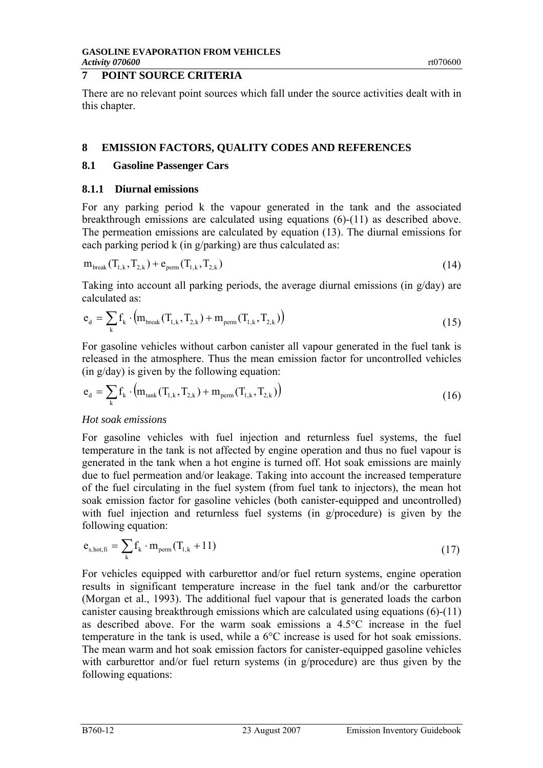# **7 POINT SOURCE CRITERIA**

There are no relevant point sources which fall under the source activities dealt with in this chapter.

#### **8 EMISSION FACTORS, QUALITY CODES AND REFERENCES**

#### **8.1 Gasoline Passenger Cars**

#### **8.1.1 Diurnal emissions**

For any parking period k the vapour generated in the tank and the associated breakthrough emissions are calculated using equations [\(6\)-](#page-6-2)[\(11\)](#page-7-1) as described above. The permeation emissions are calculated by equation [\(13\).](#page-7-2) The diurnal emissions for each parking period k (in g/parking) are thus calculated as:

$$
m_{break}(T_{1,k}, T_{2,k}) + e_{perm}(T_{1,k}, T_{2,k})
$$
\n(14)

Taking into account all parking periods, the average diurnal emissions (in g/day) are calculated as:

<span id="page-11-0"></span>
$$
e_{d} = \sum_{k} f_{k} \cdot (m_{break}(T_{1,k}, T_{2,k}) + m_{perm}(T_{1,k}, T_{2,k}))
$$
\n(15)

For gasoline vehicles without carbon canister all vapour generated in the fuel tank is released in the atmosphere. Thus the mean emission factor for uncontrolled vehicles (in g/day) is given by the following equation:

<span id="page-11-1"></span>
$$
e_{d} = \sum_{k} f_{k} \cdot (m_{\text{tank}}(T_{1,k}, T_{2,k}) + m_{\text{perm}}(T_{1,k}, T_{2,k}))
$$
\n(16)

#### *Hot soak emissions*

For gasoline vehicles with fuel injection and returnless fuel systems, the fuel temperature in the tank is not affected by engine operation and thus no fuel vapour is generated in the tank when a hot engine is turned off. Hot soak emissions are mainly due to fuel permeation and/or leakage. Taking into account the increased temperature of the fuel circulating in the fuel system (from fuel tank to injectors), the mean hot soak emission factor for gasoline vehicles (both canister-equipped and uncontrolled) with fuel injection and returnless fuel systems (in g/procedure) is given by the following equation:

$$
\mathbf{e}_{\mathrm{s,hot,fi}} = \sum_{k} \mathbf{f}_{k} \cdot \mathbf{m}_{\mathrm{perm}} (\mathbf{T}_{1,k} + 11) \tag{17}
$$

For vehicles equipped with carburettor and/or fuel return systems, engine operation results in significant temperature increase in the fuel tank and/or the carburettor (Morgan et al., 1993). The additional fuel vapour that is generated loads the carbon canister causing breakthrough emissions which are calculated using equations [\(6\)-](#page-6-2)[\(11\)](#page-7-1)  as described above. For the warm soak emissions a 4.5°C increase in the fuel temperature in the tank is used, while a 6°C increase is used for hot soak emissions. The mean warm and hot soak emission factors for canister-equipped gasoline vehicles with carburettor and/or fuel return systems (in g/procedure) are thus given by the following equations: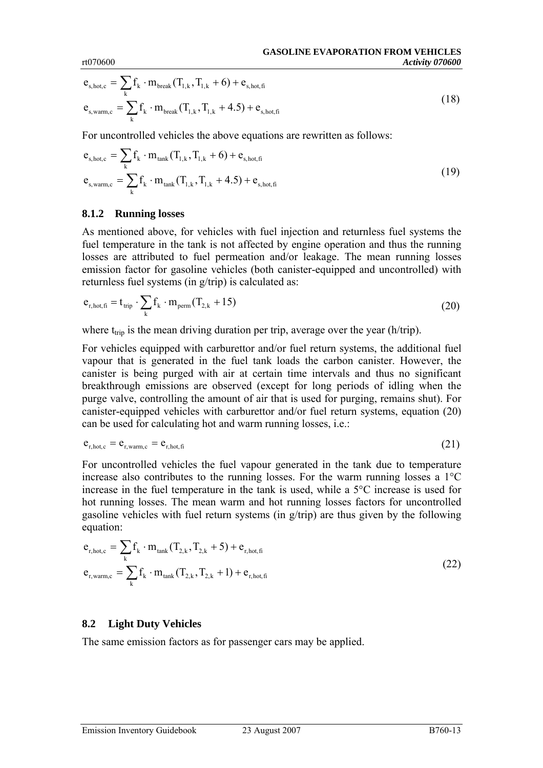$$
e_{s,hot,c} = \sum_{k} f_k \cdot m_{break} (T_{1,k}, T_{1,k} + 6) + e_{s,hot,fi}
$$
  

$$
e_{s,warm,c} = \sum_{k} f_k \cdot m_{break} (T_{1,k}, T_{1,k} + 4.5) + e_{s,hot,fi}
$$
 (18)

For uncontrolled vehicles the above equations are rewritten as follows:

$$
e_{s,hot,c} = \sum_{k} f_k \cdot m_{tank} (T_{1,k}, T_{1,k} + 6) + e_{s,hot,fi}
$$
  

$$
e_{s, warm,c} = \sum_{k} f_k \cdot m_{tank} (T_{1,k}, T_{1,k} + 4.5) + e_{s,hot,fi}
$$
 (19)

#### **8.1.2 Running losses**

As mentioned above, for vehicles with fuel injection and returnless fuel systems the fuel temperature in the tank is not affected by engine operation and thus the running losses are attributed to fuel permeation and/or leakage. The mean running losses emission factor for gasoline vehicles (both canister-equipped and uncontrolled) with returnless fuel systems (in g/trip) is calculated as:

<span id="page-12-0"></span>
$$
\mathbf{e}_{\mathrm{r,hot,fi}} = \mathbf{t}_{\mathrm{trip}} \cdot \sum_{\mathrm{k}} \mathbf{f}_{\mathrm{k}} \cdot \mathbf{m}_{\mathrm{perm}} (\mathrm{T}_{2,\mathrm{k}} + 15) \tag{20}
$$

where  $t_{trip}$  is the mean driving duration per trip, average over the year (h/trip).

For vehicles equipped with carburettor and/or fuel return systems, the additional fuel vapour that is generated in the fuel tank loads the carbon canister. However, the canister is being purged with air at certain time intervals and thus no significant breakthrough emissions are observed (except for long periods of idling when the purge valve, controlling the amount of air that is used for purging, remains shut). For canister-equipped vehicles with carburettor and/or fuel return systems, equation [\(20\)](#page-12-0)  can be used for calculating hot and warm running losses, i.e.:

$$
e_{r,hot,c} = e_{r, warm,c} = e_{r,hot,fi}
$$
 (21)

For uncontrolled vehicles the fuel vapour generated in the tank due to temperature increase also contributes to the running losses. For the warm running losses a 1°C increase in the fuel temperature in the tank is used, while a 5°C increase is used for hot running losses. The mean warm and hot running losses factors for uncontrolled gasoline vehicles with fuel return systems (in g/trip) are thus given by the following equation:

$$
e_{r,hot,c} = \sum_{k} f_k \cdot m_{tank} (T_{2,k}, T_{2,k} + 5) + e_{r,hot,fi}
$$
  

$$
e_{r,warm,c} = \sum_{k} f_k \cdot m_{tank} (T_{2,k}, T_{2,k} + 1) + e_{r,hot,fi}
$$
 (22)

#### **8.2 Light Duty Vehicles**

The same emission factors as for passenger cars may be applied.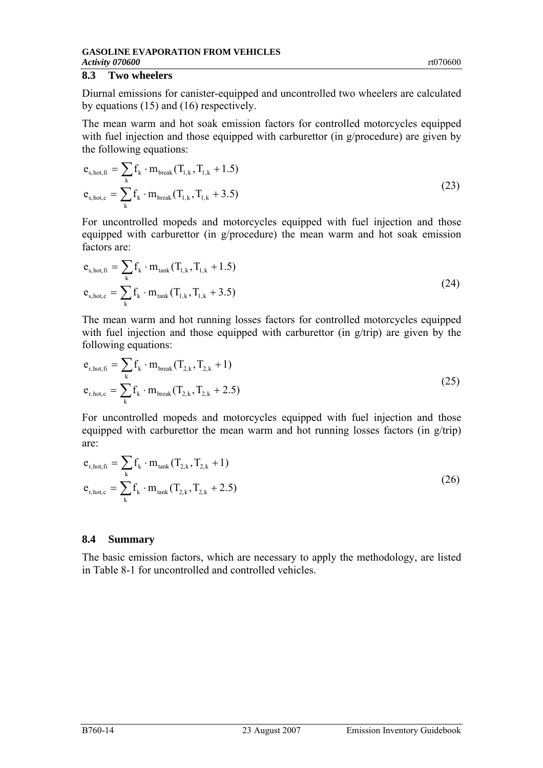#### **8.3 Two wheelers**

Diurnal emissions for canister-equipped and uncontrolled two wheelers are calculated by equations [\(15\)](#page-11-0) and [\(16\)](#page-11-1) respectively.

The mean warm and hot soak emission factors for controlled motorcycles equipped with fuel injection and those equipped with carburettor (in g/procedure) are given by the following equations:

$$
e_{s,hot,fi} = \sum_{k} f_k \cdot m_{break} (T_{1,k}, T_{1,k} + 1.5)
$$
  

$$
e_{s,hot,c} = \sum_{k} f_k \cdot m_{break} (T_{1,k}, T_{1,k} + 3.5)
$$
 (23)

For uncontrolled mopeds and motorcycles equipped with fuel injection and those equipped with carburettor (in g/procedure) the mean warm and hot soak emission factors are:

$$
e_{s,hot,fi} = \sum_{k} f_k \cdot m_{tank} (T_{1,k}, T_{1,k} + 1.5)
$$
  

$$
e_{s,hot,c} = \sum_{k} f_k \cdot m_{tank} (T_{1,k}, T_{1,k} + 3.5)
$$
 (24)

The mean warm and hot running losses factors for controlled motorcycles equipped with fuel injection and those equipped with carburettor (in g/trip) are given by the following equations:

$$
e_{r,hot,fi} = \sum_{k} f_k \cdot m_{break} (T_{2,k}, T_{2,k} + 1)
$$
  

$$
e_{r,hot,c} = \sum_{k} f_k \cdot m_{break} (T_{2,k}, T_{2,k} + 2.5)
$$
 (25)

For uncontrolled mopeds and motorcycles equipped with fuel injection and those equipped with carburettor the mean warm and hot running losses factors (in g/trip) are:

$$
e_{r,hot,fi} = \sum_{k} f_k \cdot m_{tank} (T_{2,k}, T_{2,k} + 1)
$$
  
\n
$$
e_{r,hot,c} = \sum_{k} f_k \cdot m_{tank} (T_{2,k}, T_{2,k} + 2.5)
$$
 (26)

#### **8.4 Summary**

The basic emission factors, which are necessary to apply the methodology, are listed in [Table 8-1](#page-14-0) for uncontrolled and controlled vehicles.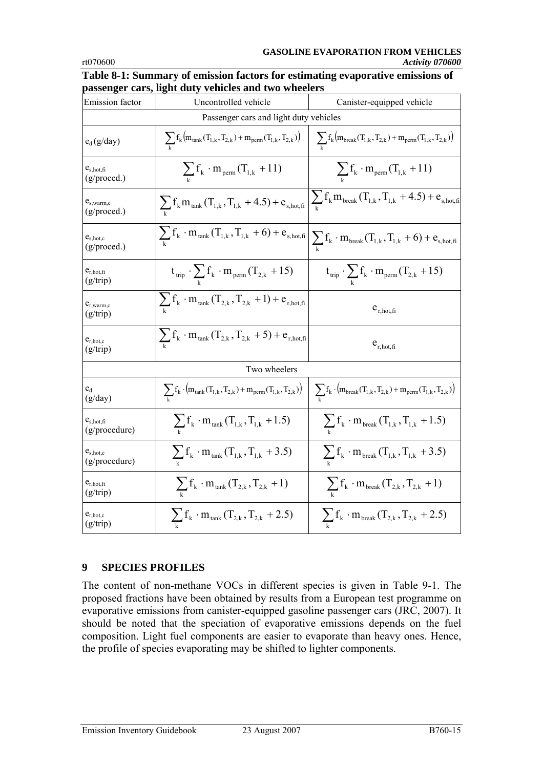#### **GASOLINE EVAPORATION FROM VEHICLES**  rt070600 *Activity 070600*

| Emission factor                 | Uncontrolled vehicle                                                                         | Canister-equipped vehicle                                                                                                                                                   |  |  |  |
|---------------------------------|----------------------------------------------------------------------------------------------|-----------------------------------------------------------------------------------------------------------------------------------------------------------------------------|--|--|--|
|                                 | Passenger cars and light duty vehicles                                                       |                                                                                                                                                                             |  |  |  |
| $e_d(g/day)$                    | $\sum_{k} f_k (m_{\text{tank}}(T_{1,k}, T_{2,k}) + m_{\text{perm}}(T_{1,k}, T_{2,k}))$       | $\sum_{k} f_k (m_{break}(T_{1,k}, T_{2,k}) + m_{perm}(T_{1,k}, T_{2,k}))$                                                                                                   |  |  |  |
| $e_{s,hot,fi}$<br>(g/proved.)   | $\sum_{k}$ f <sub>k</sub> · m <sub>perm</sub> (T <sub>1,k</sub> + 11)                        | $\sum_{k}$ f <sub>k</sub> · m <sub>perm</sub> $(T_{1,k} + 11)$                                                                                                              |  |  |  |
| $e_{s, warm,c}$<br>(g/proved.)  | $\sum_{k} f_k m_{\text{tank}} (T_{1,k}, T_{1,k} + 4.5) + e_{s,\text{hot,fi}}$                | $\sum_{k} f_k m_{\text{break}} (T_{1,k}, T_{1,k} + 4.5) + e_{s,\text{hot,fi}}$                                                                                              |  |  |  |
| $e_{s,hot,c}$<br>(g/proved.)    | $\sum_{k} f_{k} \cdot m_{\text{tank}} (T_{1,k}, T_{1,k} + 6) + e_{s,\text{hot,fi}}$          | $\sum_{k} f_k \cdot m_{break}(T_{1,k}, T_{1,k} + 6) + e_{s,hot,fi}$                                                                                                         |  |  |  |
| $e_{r,hot,fi}$<br>(g/trip)      | $t_{\text{trip}} \cdot \sum_{k} f_k \cdot m_{\text{perm}} (T_{2,k} + 15)$                    | $t_{\text{trip}} \cdot \sum_{k} f_k \cdot m_{\text{perm}}(T_{2,k} + 15)$                                                                                                    |  |  |  |
| $e_{r, warm,c}$<br>(g/trip)     | $\sum_{k} f_k \cdot m_{\text{tank}} (T_{2,k}, T_{2,k} + 1) + e_{r,\text{hot,fi}}$            | $e_{r,hot,fi}$                                                                                                                                                              |  |  |  |
| $e_{r,hot,c}$<br>(g/trip)       | $\sum_{k} f_k \cdot m_{\text{tank}} (T_{2,k}, T_{2,k} + 5) + e_{r,\text{hot,fi}}$            | $e_{r,hot,fi}$                                                                                                                                                              |  |  |  |
|                                 | Two wheelers                                                                                 |                                                                                                                                                                             |  |  |  |
| $e_d$<br>(g/day)                | $\sum_{k} f_k \cdot (m_{\text{tank}}(T_{1,k}, T_{2,k}) + m_{\text{perm}}(T_{1,k}, T_{2,k}))$ | $\sum_{\mathbf{k}} \mathbf{f}_{\mathbf{k}} \cdot \left( m_{\text{break}}(T_{1,\mathbf{k}}, T_{2,\mathbf{k}}) + m_{\text{perm}}(T_{1,\mathbf{k}}, T_{2,\mathbf{k}}) \right)$ |  |  |  |
| $e_{s,hot,fi}$<br>(g/procedure) | $\sum_{k} f_k \cdot m_{\text{tank}}(T_{1,k}, T_{1,k} + 1.5)$                                 | $\sum_{k} f_k \cdot m_{\text{break}} (T_{1,k}, T_{1,k} + 1.5)$                                                                                                              |  |  |  |
| $e_{s,hot,c}$<br>(g/procedure)  | $\sum_{k} f_k \cdot m_{\text{tank}}(T_{1,k}, T_{1,k} + 3.5)$                                 | $\sum_{k} f_k \cdot m_{\text{break}}(T_{1,k}, T_{1,k} + 3.5)$                                                                                                               |  |  |  |
| $e_{r,hot,fi}$<br>(g/trip)      | $\sum_{k} f_k \cdot m_{\text{tank}} (T_{2,k}, T_{2,k} + 1)$                                  | $\sum_{k} f_k \cdot m_{break}(T_{2,k}, T_{2,k} + 1)$                                                                                                                        |  |  |  |
| $e_{r,hot,c}$<br>(g/trip)       | $\sum_{k}$ f <sub>k</sub> · m <sub>tank</sub> (T <sub>2,k</sub> , T <sub>2,k</sub> + 2.5)    | $\sum_{k} f_k \cdot m_{break}(T_{2,k}, T_{2,k} + 2.5)$                                                                                                                      |  |  |  |

<span id="page-14-0"></span>**Table 8-1: Summary of emission factors for estimating evaporative emissions of passenger cars, light duty vehicles and two wheelers** 

# **9 SPECIES PROFILES**

The content of non-methane VOCs in different species is given in [Table 9-1.](#page-15-0) The proposed fractions have been obtained by results from a European test programme on evaporative emissions from canister-equipped gasoline passenger cars (JRC, 2007). It should be noted that the speciation of evaporative emissions depends on the fuel composition. Light fuel components are easier to evaporate than heavy ones. Hence, the profile of species evaporating may be shifted to lighter components.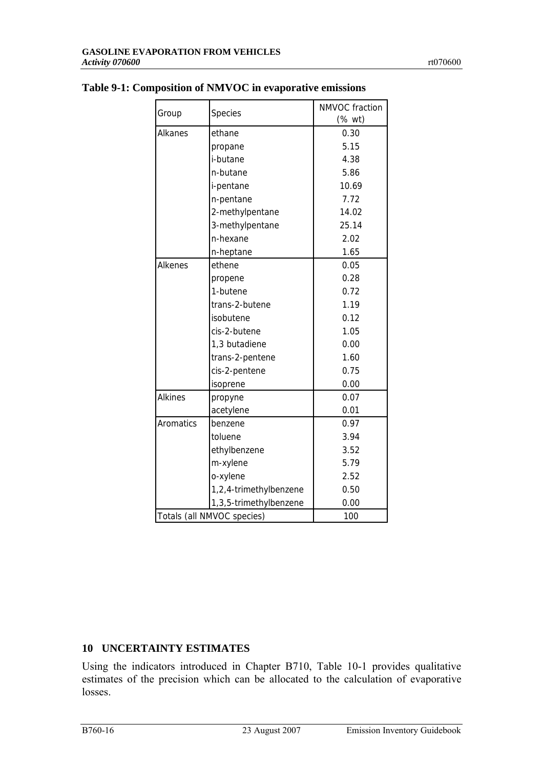|                            |                        | NMVOC fraction |
|----------------------------|------------------------|----------------|
| Group                      | Species                | (% wt)         |
| Alkanes                    | ethane                 | 0.30           |
|                            | propane                | 5.15           |
|                            | i-butane               | 4.38           |
|                            | n-butane               | 5.86           |
|                            | i-pentane              | 10.69          |
|                            | n-pentane              | 7.72           |
|                            | 2-methylpentane        | 14.02          |
|                            | 3-methylpentane        | 25.14          |
|                            | n-hexane               | 2.02           |
|                            | n-heptane              | 1.65           |
| Alkenes                    | ethene                 | 0.05           |
|                            | propene                | 0.28           |
|                            | 1-butene               | 0.72           |
|                            | trans-2-butene         | 1.19           |
|                            | isobutene              | 0.12           |
|                            | cis-2-butene           | 1.05           |
|                            | 1,3 butadiene          | 0.00           |
|                            | trans-2-pentene        | 1.60           |
|                            | cis-2-pentene          | 0.75           |
|                            | isoprene               | 0.00           |
| <b>Alkines</b>             | propyne                | 0.07           |
|                            | acetylene              | 0.01           |
| Aromatics                  | benzene                | 0.97           |
|                            | toluene                | 3.94           |
|                            | ethylbenzene           | 3.52           |
|                            | m-xylene               | 5.79           |
|                            | o-xylene               | 2.52           |
|                            | 1,2,4-trimethylbenzene | 0.50           |
|                            | 1,3,5-trimethylbenzene | 0.00           |
| Totals (all NMVOC species) |                        | 100            |

# <span id="page-15-0"></span>**Table 9-1: Composition of NMVOC in evaporative emissions**

# **10 UNCERTAINTY ESTIMATES**

Using the indicators introduced in Chapter B710, [Table 10-1](#page-16-0) provides qualitative estimates of the precision which can be allocated to the calculation of evaporative losses.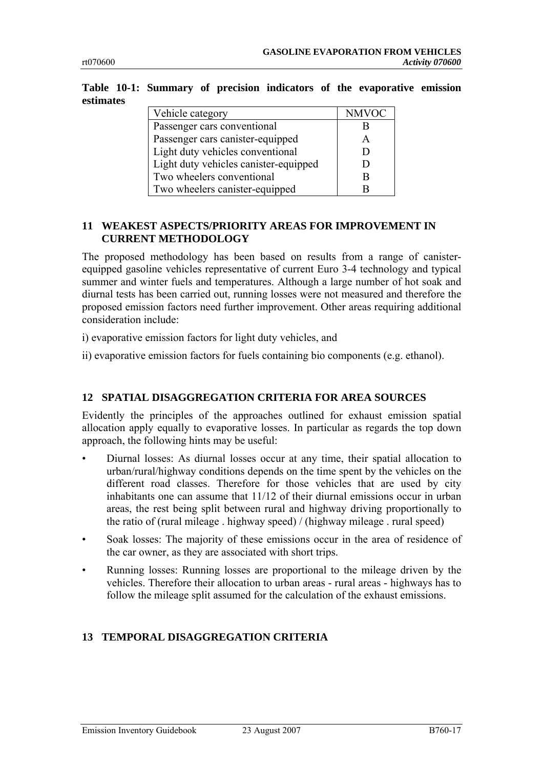<span id="page-16-0"></span>

| Table 10-1: Summary of precision indicators of the evaporative emission |  |  |  |  |
|-------------------------------------------------------------------------|--|--|--|--|
| estimates                                                               |  |  |  |  |

| Vehicle category                      | <b>NMVOC</b> |
|---------------------------------------|--------------|
| Passenger cars conventional           |              |
| Passenger cars canister-equipped      |              |
| Light duty vehicles conventional      |              |
| Light duty vehicles canister-equipped |              |
| Two wheelers conventional             |              |
| Two wheelers canister-equipped        |              |

### **11 WEAKEST ASPECTS/PRIORITY AREAS FOR IMPROVEMENT IN CURRENT METHODOLOGY**

The proposed methodology has been based on results from a range of canisterequipped gasoline vehicles representative of current Euro 3-4 technology and typical summer and winter fuels and temperatures. Although a large number of hot soak and diurnal tests has been carried out, running losses were not measured and therefore the proposed emission factors need further improvement. Other areas requiring additional consideration include:

i) evaporative emission factors for light duty vehicles, and

ii) evaporative emission factors for fuels containing bio components (e.g. ethanol).

# **12 SPATIAL DISAGGREGATION CRITERIA FOR AREA SOURCES**

Evidently the principles of the approaches outlined for exhaust emission spatial allocation apply equally to evaporative losses. In particular as regards the top down approach, the following hints may be useful:

- Diurnal losses: As diurnal losses occur at any time, their spatial allocation to urban/rural/highway conditions depends on the time spent by the vehicles on the different road classes. Therefore for those vehicles that are used by city inhabitants one can assume that 11/12 of their diurnal emissions occur in urban areas, the rest being split between rural and highway driving proportionally to the ratio of (rural mileage . highway speed) / (highway mileage . rural speed)
- Soak losses: The majority of these emissions occur in the area of residence of the car owner, as they are associated with short trips.
- Running losses: Running losses are proportional to the mileage driven by the vehicles. Therefore their allocation to urban areas - rural areas - highways has to follow the mileage split assumed for the calculation of the exhaust emissions.

# **13 TEMPORAL DISAGGREGATION CRITERIA**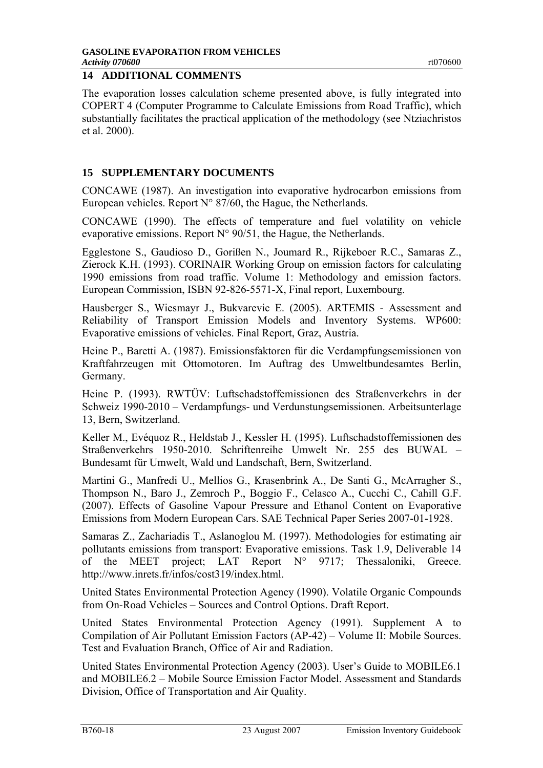The evaporation losses calculation scheme presented above, is fully integrated into COPERT 4 (Computer Programme to Calculate Emissions from Road Traffic), which substantially facilitates the practical application of the methodology (see Ntziachristos et al. 2000).

# **15 SUPPLEMENTARY DOCUMENTS**

CONCAWE (1987). An investigation into evaporative hydrocarbon emissions from European vehicles. Report  $N^{\circ}$  87/60, the Hague, the Netherlands.

CONCAWE (1990). The effects of temperature and fuel volatility on vehicle evaporative emissions. Report  $N^{\circ}$  90/51, the Hague, the Netherlands.

Egglestone S., Gaudioso D., Gorißen N., Joumard R., Rijkeboer R.C., Samaras Z., Zierock K.H. (1993). CORINAIR Working Group on emission factors for calculating 1990 emissions from road traffic. Volume 1: Methodology and emission factors. European Commission, ISBN 92-826-5571-X, Final report, Luxembourg.

Hausberger S., Wiesmayr J., Bukvarevic E. (2005). ARTEMIS - Assessment and Reliability of Transport Emission Models and Inventory Systems. WP600: Evaporative emissions of vehicles. Final Report, Graz, Austria.

Heine P., Baretti A. (1987). Emissionsfaktoren für die Verdampfungsemissionen von Kraftfahrzeugen mit Ottomotoren. Im Auftrag des Umweltbundesamtes Berlin, Germany.

Heine P. (1993). RWTÜV: Luftschadstoffemissionen des Straßenverkehrs in der Schweiz 1990-2010 – Verdampfungs- und Verdunstungsemissionen. Arbeitsunterlage 13, Bern, Switzerland.

Keller M., Evéquoz R., Heldstab J., Kessler H. (1995). Luftschadstoffemissionen des Straßenverkehrs 1950-2010. Schriftenreihe Umwelt Nr. 255 des BUWAL – Bundesamt für Umwelt, Wald und Landschaft, Bern, Switzerland.

Martini G., Manfredi U., Mellios G., Krasenbrink A., De Santi G., McArragher S., Thompson N., Baro J., Zemroch P., Boggio F., Celasco A., Cucchi C., Cahill G.F. (2007). Effects of Gasoline Vapour Pressure and Ethanol Content on Evaporative Emissions from Modern European Cars. SAE Technical Paper Series 2007-01-1928.

Samaras Z., Zachariadis T., Aslanoglou M. (1997). Methodologies for estimating air pollutants emissions from transport: Evaporative emissions. Task 1.9, Deliverable 14 of the MEET project; LAT Report N° 9717; Thessaloniki, Greece. http://www.inrets.fr/infos/cost319/index.html.

United States Environmental Protection Agency (1990). Volatile Organic Compounds from On-Road Vehicles – Sources and Control Options. Draft Report.

United States Environmental Protection Agency (1991). Supplement A to Compilation of Air Pollutant Emission Factors (AP-42) – Volume II: Mobile Sources. Test and Evaluation Branch, Office of Air and Radiation.

United States Environmental Protection Agency (2003). User's Guide to MOBILE6.1 and MOBILE6.2 – Mobile Source Emission Factor Model. Assessment and Standards Division, Office of Transportation and Air Quality.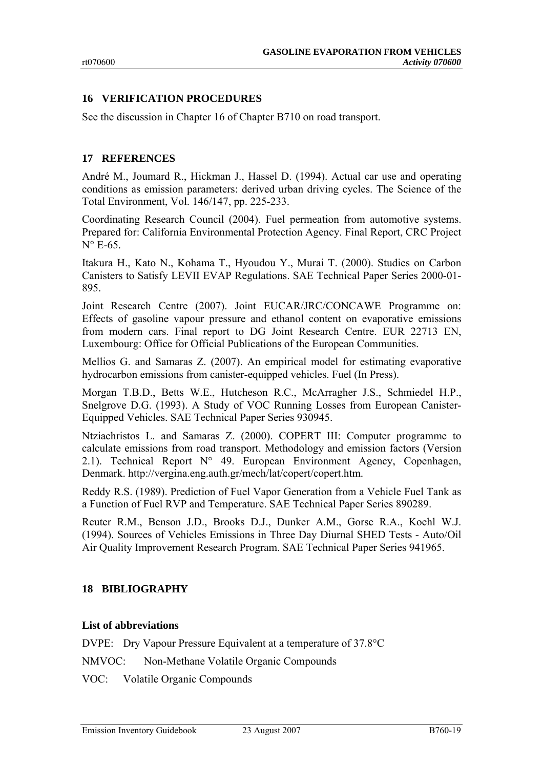# **16 VERIFICATION PROCEDURES**

See the discussion in Chapter 16 of Chapter B710 on road transport.

#### **17 REFERENCES**

André M., Joumard R., Hickman J., Hassel D. (1994). Actual car use and operating conditions as emission parameters: derived urban driving cycles. The Science of the Total Environment, Vol. 146/147, pp. 225-233.

Coordinating Research Council (2004). Fuel permeation from automotive systems. Prepared for: California Environmental Protection Agency. Final Report, CRC Project  $N^{\circ}$  E-65.

Itakura H., Kato N., Kohama T., Hyoudou Y., Murai T. (2000). Studies on Carbon Canisters to Satisfy LEVII EVAP Regulations. SAE Technical Paper Series 2000-01- 895.

Joint Research Centre (2007). Joint EUCAR/JRC/CONCAWE Programme on: Effects of gasoline vapour pressure and ethanol content on evaporative emissions from modern cars. Final report to DG Joint Research Centre. EUR 22713 EN, Luxembourg: Office for Official Publications of the European Communities.

Mellios G. and Samaras Z. (2007). An empirical model for estimating evaporative hydrocarbon emissions from canister-equipped vehicles. Fuel (In Press).

Morgan T.B.D., Betts W.E., Hutcheson R.C., McArragher J.S., Schmiedel H.P., Snelgrove D.G. (1993). A Study of VOC Running Losses from European Canister-Equipped Vehicles. SAE Technical Paper Series 930945.

Ntziachristos L. and Samaras Z. (2000). COPERT III: Computer programme to calculate emissions from road transport. Methodology and emission factors (Version 2.1). Technical Report N° 49. European Environment Agency, Copenhagen, Denmark. http://vergina.eng.auth.gr/mech/lat/copert/copert.htm.

Reddy R.S. (1989). Prediction of Fuel Vapor Generation from a Vehicle Fuel Tank as a Function of Fuel RVP and Temperature. SAE Technical Paper Series 890289.

Reuter R.M., Benson J.D., Brooks D.J., Dunker A.M., Gorse R.A., Koehl W.J. (1994). Sources of Vehicles Emissions in Three Day Diurnal SHED Tests - Auto/Oil Air Quality Improvement Research Program. SAE Technical Paper Series 941965.

# **18 BIBLIOGRAPHY**

#### **List of abbreviations**

DVPE: Dry Vapour Pressure Equivalent at a temperature of 37.8°C

NMVOC: Non-Methane Volatile Organic Compounds

VOC: Volatile Organic Compounds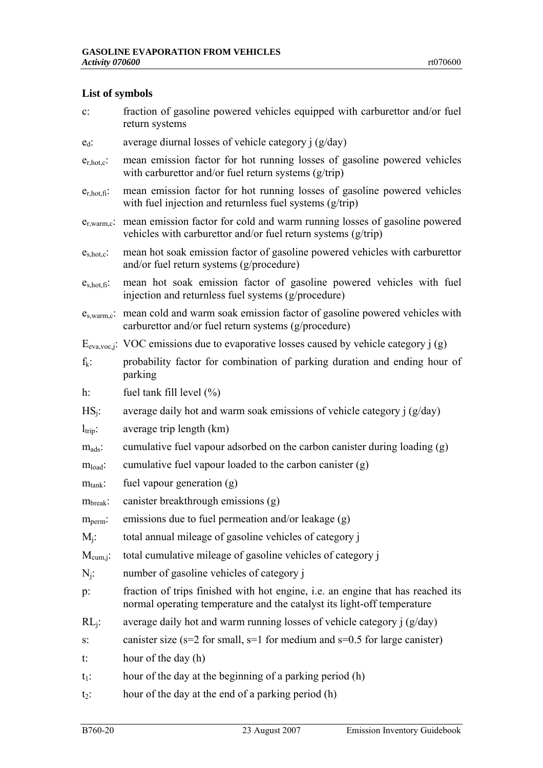# **List of symbols**

| $\mathbf{c}$ :      | fraction of gasoline powered vehicles equipped with carburettor and/or fuel<br>return systems                                                                     |
|---------------------|-------------------------------------------------------------------------------------------------------------------------------------------------------------------|
| $e_d$ :             | average diurnal losses of vehicle category $i$ ( $g$ /day)                                                                                                        |
| $e_{r,hot,c}$ :     | mean emission factor for hot running losses of gasoline powered vehicles<br>with carburettor and/or fuel return systems $(g/trip)$                                |
| $e_{r,hot,fi}$ :    | mean emission factor for hot running losses of gasoline powered vehicles<br>with fuel injection and returnless fuel systems (g/trip)                              |
| $e_{r, warm,c}$     | mean emission factor for cold and warm running losses of gasoline powered<br>vehicles with carburettor and/or fuel return systems (g/trip)                        |
| $e_{s,hot,c}$ :     | mean hot soak emission factor of gasoline powered vehicles with carburettor<br>and/or fuel return systems (g/procedure)                                           |
| $e_{s,hot,fi}$ :    | mean hot soak emission factor of gasoline powered vehicles with fuel<br>injection and returnless fuel systems (g/procedure)                                       |
|                     | e <sub>s,warm,c</sub> : mean cold and warm soak emission factor of gasoline powered vehicles with<br>carburettor and/or fuel return systems (g/procedure)         |
|                     | $E_{\text{eva,voc},j}$ : VOC emissions due to evaporative losses caused by vehicle category j (g)                                                                 |
| $f_k$ :             | probability factor for combination of parking duration and ending hour of<br>parking                                                                              |
| $h$ :               | fuel tank fill level $(\% )$                                                                                                                                      |
| $HS_i$ :            | average daily hot and warm soak emissions of vehicle category $j$ ( $g$ /day)                                                                                     |
| $l_{\text{trip}}$ : | average trip length (km)                                                                                                                                          |
| $m_{ads}$ :         | cumulative fuel vapour adsorbed on the carbon canister during loading (g)                                                                                         |
| $m_{load}$ :        | cumulative fuel vapour loaded to the carbon canister (g)                                                                                                          |
| $m_{\text{tank}}$ : | fuel vapour generation (g)                                                                                                                                        |
| $m_{break}$ :       | canister breakthrough emissions (g)                                                                                                                               |
| $m_{perm}$          | emissions due to fuel permeation and/or leakage (g)                                                                                                               |
| $M_i$ :             | total annual mileage of gasoline vehicles of category j                                                                                                           |
| $M_{cum, j}$ :      | total cumulative mileage of gasoline vehicles of category j                                                                                                       |
| $N_i$ :             | number of gasoline vehicles of category j                                                                                                                         |
| $p$ :               | fraction of trips finished with hot engine, <i>i.e.</i> an engine that has reached its<br>normal operating temperature and the catalyst its light-off temperature |
| $RL_i$ :            | average daily hot and warm running losses of vehicle category $j$ ( $g$ /day)                                                                                     |
| $S^{\cdot}$         | canister size ( $s=2$ for small, $s=1$ for medium and $s=0.5$ for large canister)                                                                                 |
| t:                  | hour of the day (h)                                                                                                                                               |
| $t_1$ :             | hour of the day at the beginning of a parking period (h)                                                                                                          |
| $t_2$ :             | hour of the day at the end of a parking period (h)                                                                                                                |